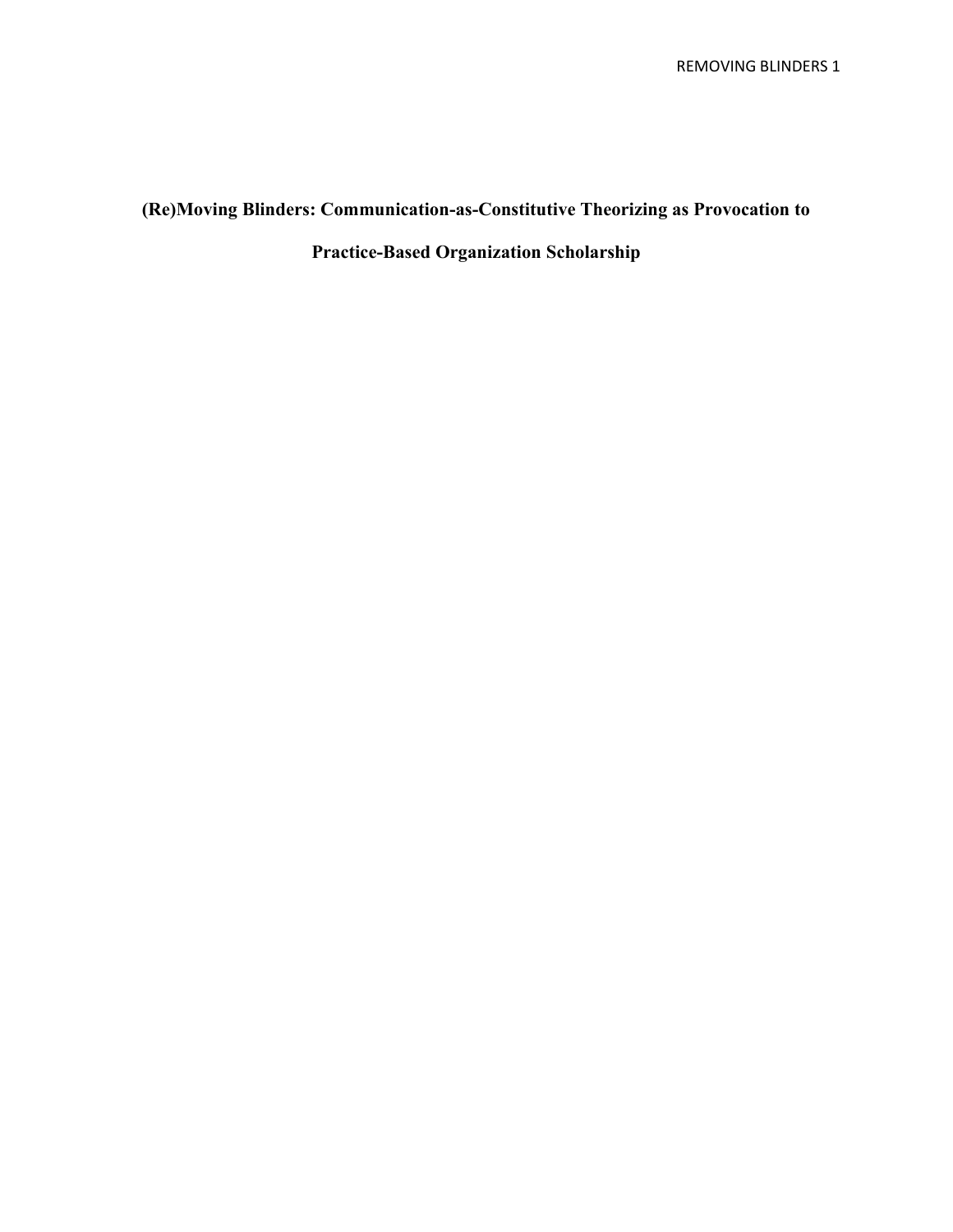# **(Re)Moving Blinders: Communication-as-Constitutive Theorizing as Provocation to**

**Practice-Based Organization Scholarship**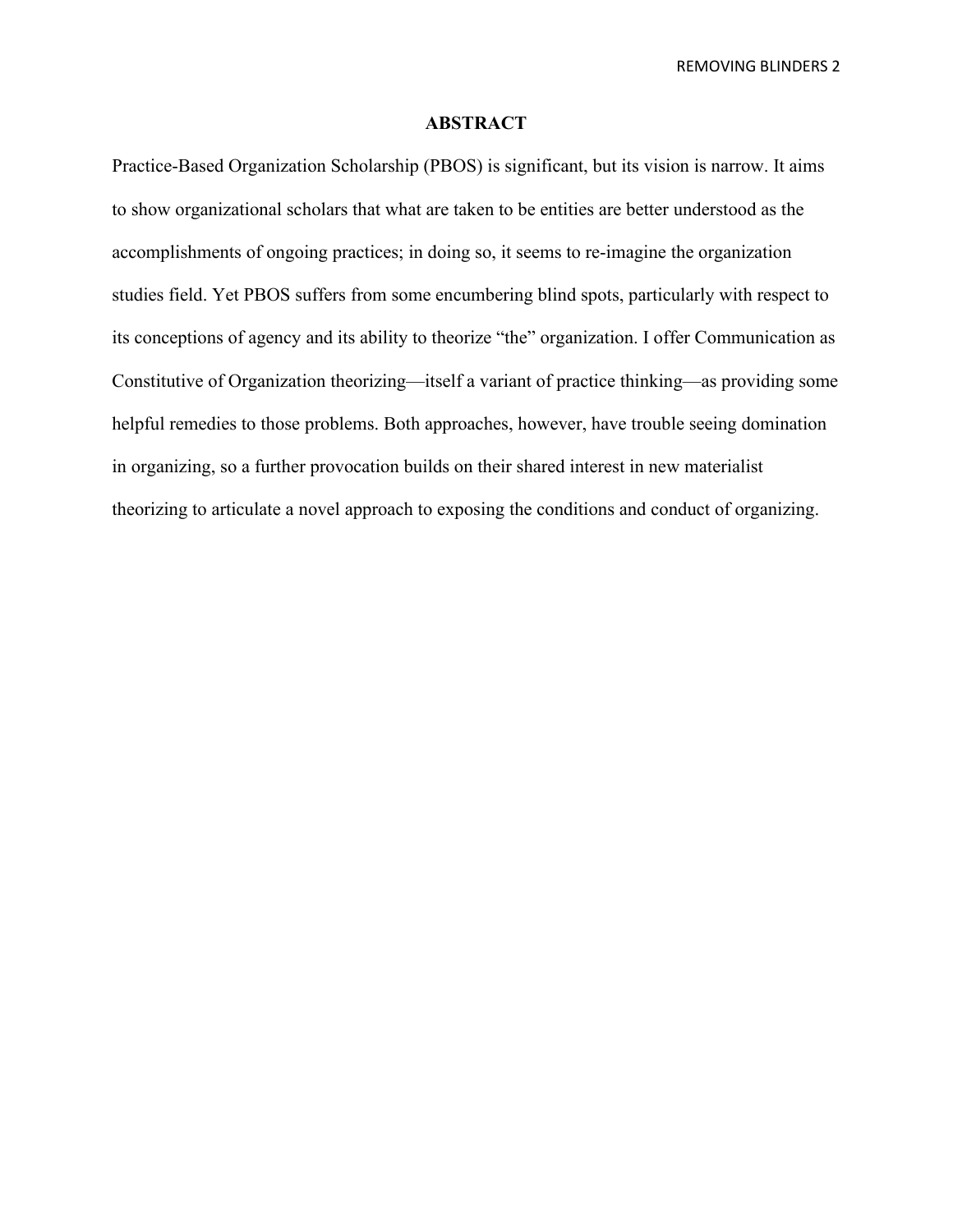## **ABSTRACT**

Practice-Based Organization Scholarship (PBOS) is significant, but its vision is narrow. It aims to show organizational scholars that what are taken to be entities are better understood as the accomplishments of ongoing practices; in doing so, it seems to re-imagine the organization studies field. Yet PBOS suffers from some encumbering blind spots, particularly with respect to its conceptions of agency and its ability to theorize "the" organization. I offer Communication as Constitutive of Organization theorizing—itself a variant of practice thinking—as providing some helpful remedies to those problems. Both approaches, however, have trouble seeing domination in organizing, so a further provocation builds on their shared interest in new materialist theorizing to articulate a novel approach to exposing the conditions and conduct of organizing.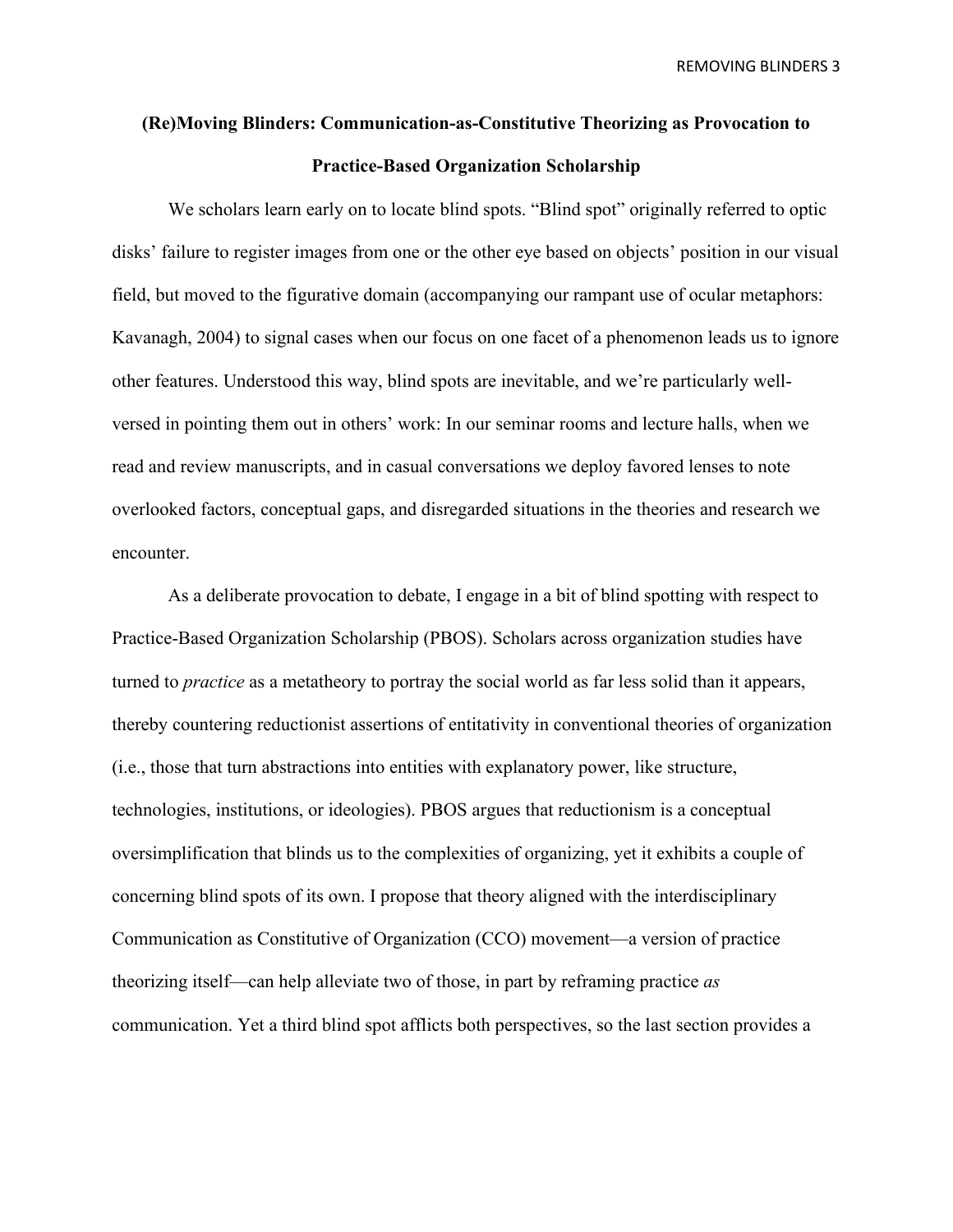# **(Re)Moving Blinders: Communication-as-Constitutive Theorizing as Provocation to Practice-Based Organization Scholarship**

We scholars learn early on to locate blind spots. "Blind spot" originally referred to optic disks' failure to register images from one or the other eye based on objects' position in our visual field, but moved to the figurative domain (accompanying our rampant use of ocular metaphors: Kavanagh, 2004) to signal cases when our focus on one facet of a phenomenon leads us to ignore other features. Understood this way, blind spots are inevitable, and we're particularly wellversed in pointing them out in others' work: In our seminar rooms and lecture halls, when we read and review manuscripts, and in casual conversations we deploy favored lenses to note overlooked factors, conceptual gaps, and disregarded situations in the theories and research we encounter.

As a deliberate provocation to debate, I engage in a bit of blind spotting with respect to Practice-Based Organization Scholarship (PBOS). Scholars across organization studies have turned to *practice* as a metatheory to portray the social world as far less solid than it appears, thereby countering reductionist assertions of entitativity in conventional theories of organization (i.e., those that turn abstractions into entities with explanatory power, like structure, technologies, institutions, or ideologies). PBOS argues that reductionism is a conceptual oversimplification that blinds us to the complexities of organizing, yet it exhibits a couple of concerning blind spots of its own. I propose that theory aligned with the interdisciplinary Communication as Constitutive of Organization (CCO) movement—a version of practice theorizing itself—can help alleviate two of those, in part by reframing practice *as* communication. Yet a third blind spot afflicts both perspectives, so the last section provides a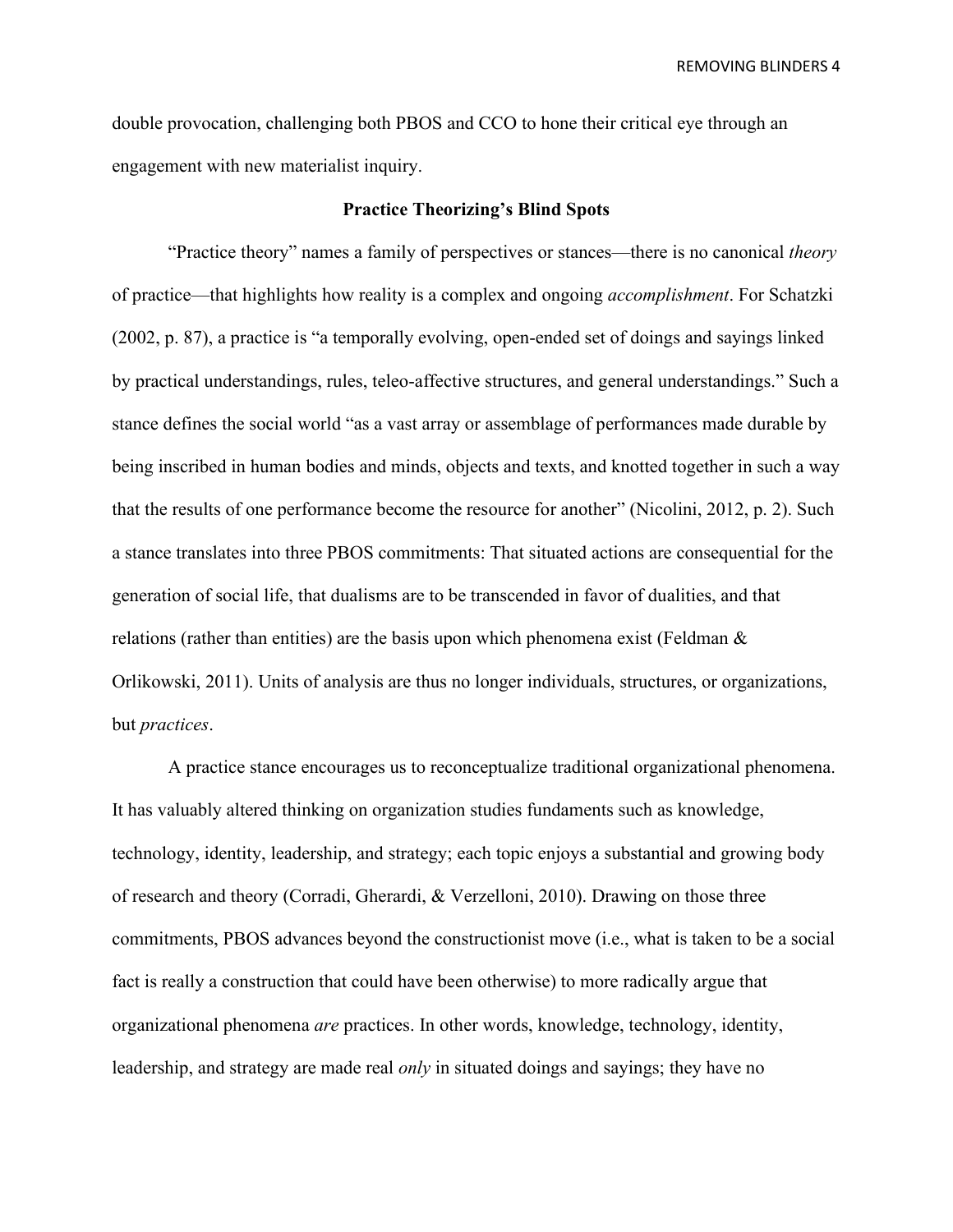double provocation, challenging both PBOS and CCO to hone their critical eye through an engagement with new materialist inquiry.

#### **Practice Theorizing's Blind Spots**

"Practice theory" names a family of perspectives or stances—there is no canonical *theory*  of practice—that highlights how reality is a complex and ongoing *accomplishment*. For Schatzki (2002, p. 87), a practice is "a temporally evolving, open-ended set of doings and sayings linked by practical understandings, rules, teleo-affective structures, and general understandings." Such a stance defines the social world "as a vast array or assemblage of performances made durable by being inscribed in human bodies and minds, objects and texts, and knotted together in such a way that the results of one performance become the resource for another" (Nicolini, 2012, p. 2). Such a stance translates into three PBOS commitments: That situated actions are consequential for the generation of social life, that dualisms are to be transcended in favor of dualities, and that relations (rather than entities) are the basis upon which phenomena exist (Feldman & Orlikowski, 2011). Units of analysis are thus no longer individuals, structures, or organizations, but *practices*.

A practice stance encourages us to reconceptualize traditional organizational phenomena. It has valuably altered thinking on organization studies fundaments such as knowledge, technology, identity, leadership, and strategy; each topic enjoys a substantial and growing body of research and theory (Corradi, Gherardi, & Verzelloni, 2010). Drawing on those three commitments, PBOS advances beyond the constructionist move (i.e., what is taken to be a social fact is really a construction that could have been otherwise) to more radically argue that organizational phenomena *are* practices. In other words, knowledge, technology, identity, leadership, and strategy are made real *only* in situated doings and sayings; they have no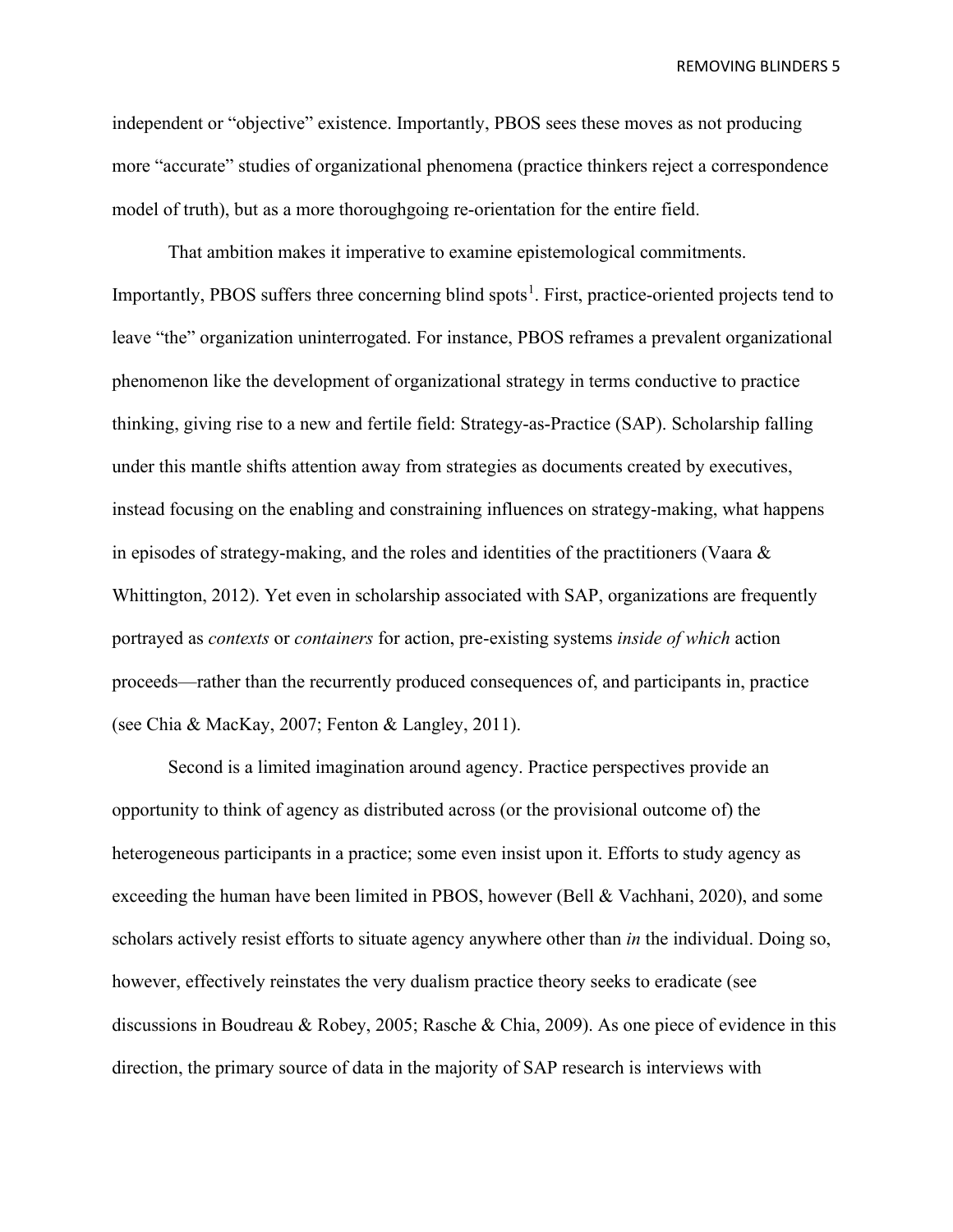independent or "objective" existence. Importantly, PBOS sees these moves as not producing more "accurate" studies of organizational phenomena (practice thinkers reject a correspondence model of truth), but as a more thoroughgoing re-orientation for the entire field.

That ambition makes it imperative to examine epistemological commitments. Importantly, PBOS suffers three concerning blind spots<sup>[1](#page-27-0)</sup>. First, practice-oriented projects tend to leave "the" organization uninterrogated. For instance, PBOS reframes a prevalent organizational phenomenon like the development of organizational strategy in terms conductive to practice thinking, giving rise to a new and fertile field: Strategy-as-Practice (SAP). Scholarship falling under this mantle shifts attention away from strategies as documents created by executives, instead focusing on the enabling and constraining influences on strategy-making, what happens in episodes of strategy-making, and the roles and identities of the practitioners (Vaara & Whittington, 2012). Yet even in scholarship associated with SAP, organizations are frequently portrayed as *contexts* or *containers* for action, pre-existing systems *inside of which* action proceeds—rather than the recurrently produced consequences of, and participants in, practice (see Chia & MacKay, 2007; Fenton & Langley, 2011).

Second is a limited imagination around agency. Practice perspectives provide an opportunity to think of agency as distributed across (or the provisional outcome of) the heterogeneous participants in a practice; some even insist upon it. Efforts to study agency as exceeding the human have been limited in PBOS, however (Bell & Vachhani, 2020), and some scholars actively resist efforts to situate agency anywhere other than *in* the individual. Doing so, however, effectively reinstates the very dualism practice theory seeks to eradicate (see discussions in Boudreau & Robey, 2005; Rasche & Chia, 2009). As one piece of evidence in this direction, the primary source of data in the majority of SAP research is interviews with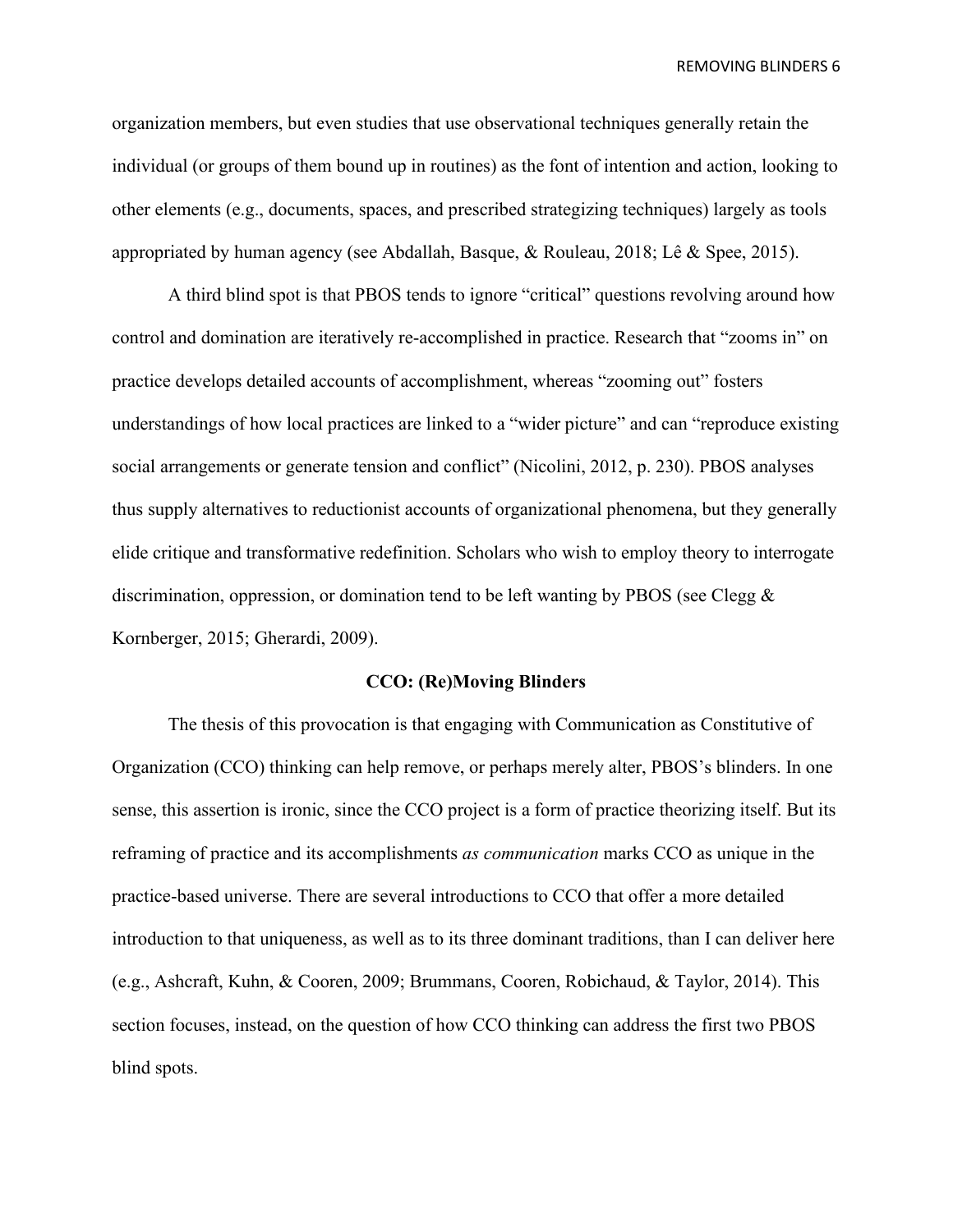organization members, but even studies that use observational techniques generally retain the individual (or groups of them bound up in routines) as the font of intention and action, looking to other elements (e.g., documents, spaces, and prescribed strategizing techniques) largely as tools appropriated by human agency (see Abdallah, Basque, & Rouleau, 2018; Lê & Spee, 2015).

A third blind spot is that PBOS tends to ignore "critical" questions revolving around how control and domination are iteratively re-accomplished in practice. Research that "zooms in" on practice develops detailed accounts of accomplishment, whereas "zooming out" fosters understandings of how local practices are linked to a "wider picture" and can "reproduce existing social arrangements or generate tension and conflict" (Nicolini, 2012, p. 230). PBOS analyses thus supply alternatives to reductionist accounts of organizational phenomena, but they generally elide critique and transformative redefinition. Scholars who wish to employ theory to interrogate discrimination, oppression, or domination tend to be left wanting by PBOS (see Clegg  $\&$ Kornberger, 2015; Gherardi, 2009).

#### **CCO: (Re)Moving Blinders**

The thesis of this provocation is that engaging with Communication as Constitutive of Organization (CCO) thinking can help remove, or perhaps merely alter, PBOS's blinders. In one sense, this assertion is ironic, since the CCO project is a form of practice theorizing itself. But its reframing of practice and its accomplishments *as communication* marks CCO as unique in the practice-based universe. There are several introductions to CCO that offer a more detailed introduction to that uniqueness, as well as to its three dominant traditions, than I can deliver here (e.g., Ashcraft, Kuhn, & Cooren, 2009; Brummans, Cooren, Robichaud, & Taylor, 2014). This section focuses, instead, on the question of how CCO thinking can address the first two PBOS blind spots.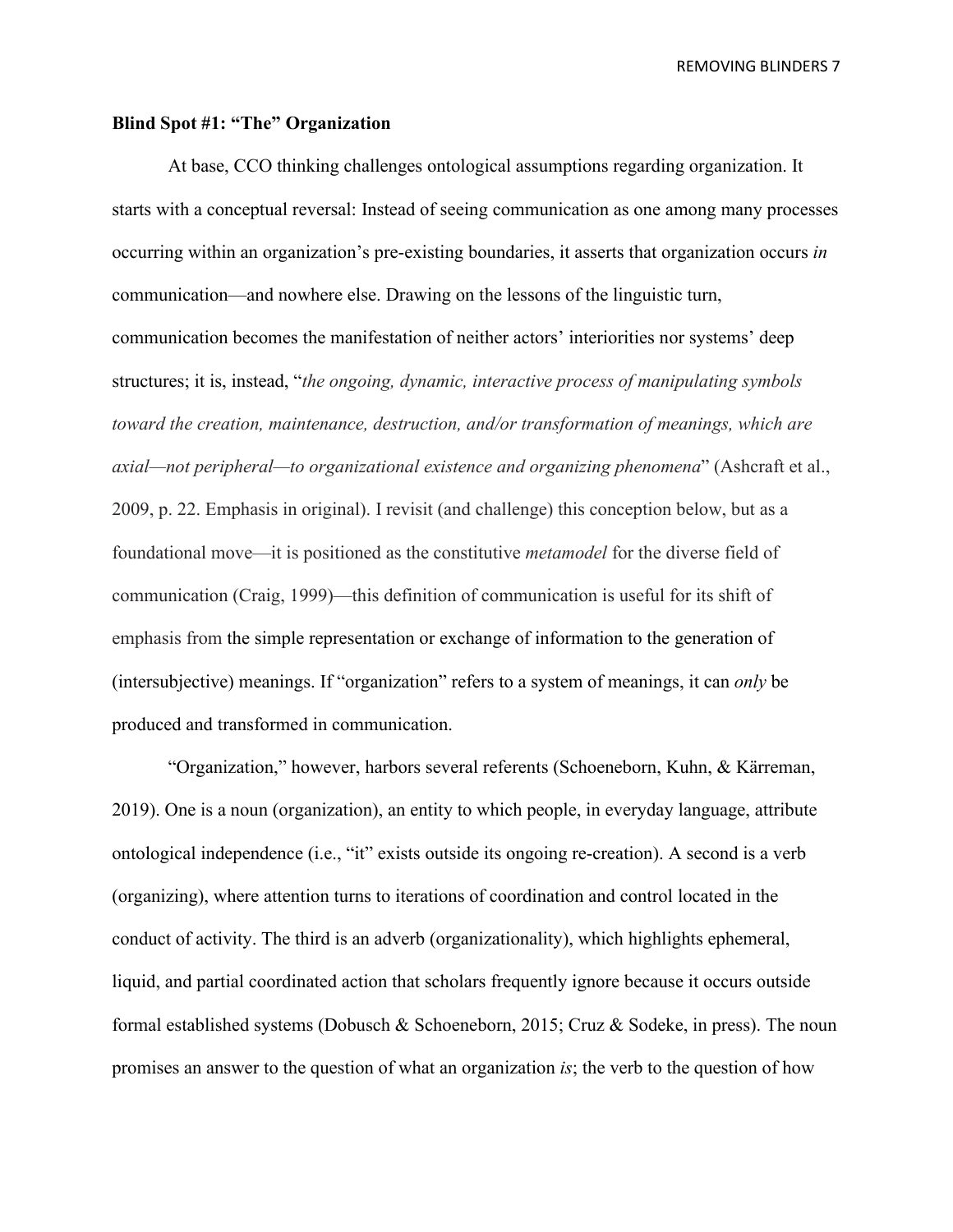#### **Blind Spot #1: "The" Organization**

At base, CCO thinking challenges ontological assumptions regarding organization. It starts with a conceptual reversal: Instead of seeing communication as one among many processes occurring within an organization's pre-existing boundaries, it asserts that organization occurs *in*  communication—and nowhere else. Drawing on the lessons of the linguistic turn, communication becomes the manifestation of neither actors' interiorities nor systems' deep structures; it is, instead, "*the ongoing, dynamic, interactive process of manipulating symbols toward the creation, maintenance, destruction, and/or transformation of meanings, which are axial—not peripheral—to organizational existence and organizing phenomena*" (Ashcraft et al., 2009, p. 22. Emphasis in original). I revisit (and challenge) this conception below, but as a foundational move—it is positioned as the constitutive *metamodel* for the diverse field of communication (Craig, 1999)—this definition of communication is useful for its shift of emphasis from the simple representation or exchange of information to the generation of (intersubjective) meanings. If "organization" refers to a system of meanings, it can *only* be produced and transformed in communication.

"Organization," however, harbors several referents (Schoeneborn, Kuhn, & Kärreman, 2019). One is a noun (organization), an entity to which people, in everyday language, attribute ontological independence (i.e., "it" exists outside its ongoing re-creation). A second is a verb (organizing), where attention turns to iterations of coordination and control located in the conduct of activity. The third is an adverb (organizationality), which highlights ephemeral, liquid, and partial coordinated action that scholars frequently ignore because it occurs outside formal established systems (Dobusch & Schoeneborn, 2015; Cruz & Sodeke, in press). The noun promises an answer to the question of what an organization *is*; the verb to the question of how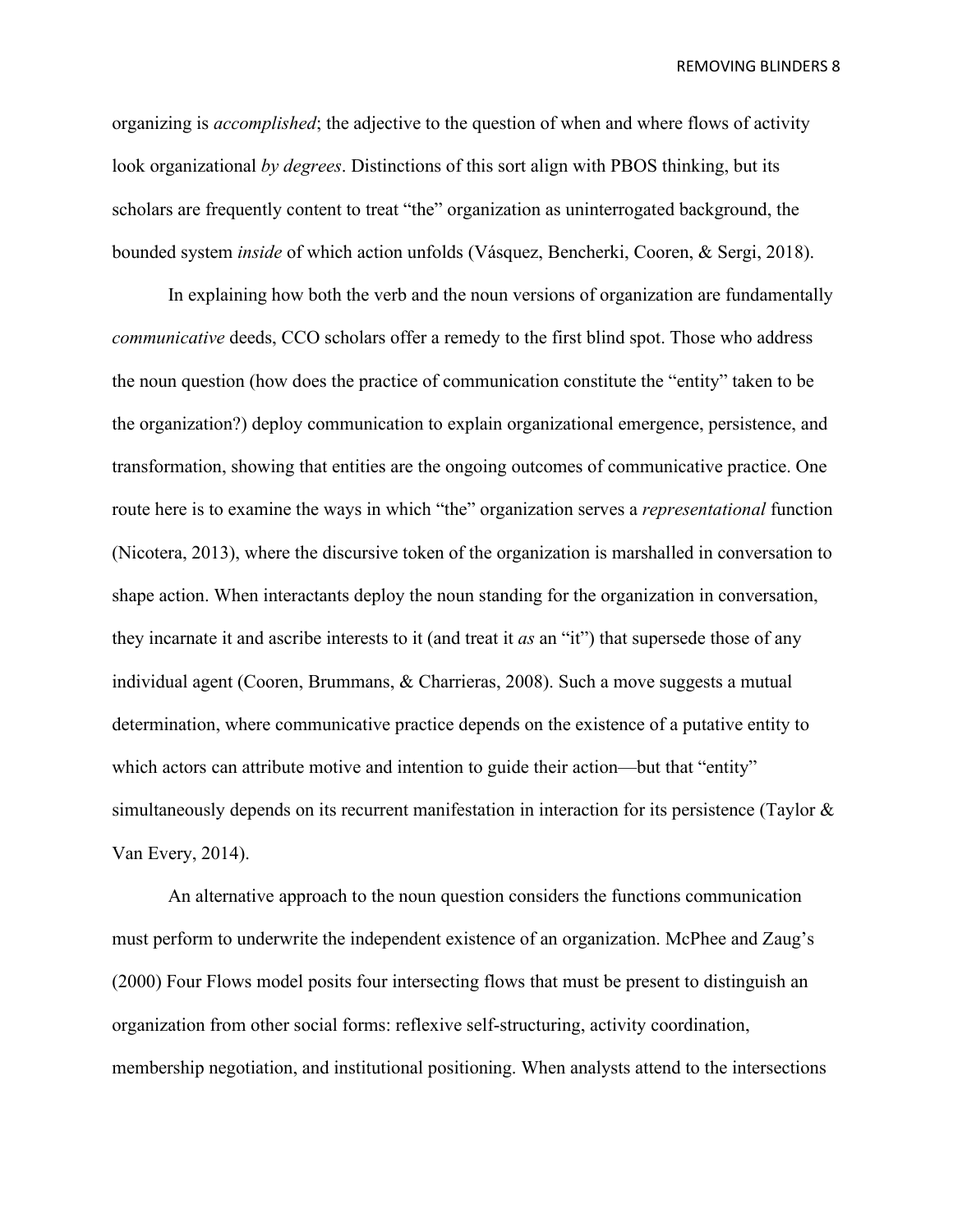organizing is *accomplished*; the adjective to the question of when and where flows of activity look organizational *by degrees*. Distinctions of this sort align with PBOS thinking, but its scholars are frequently content to treat "the" organization as uninterrogated background, the bounded system *inside* of which action unfolds (Vásquez, Bencherki, Cooren, & Sergi, 2018).

In explaining how both the verb and the noun versions of organization are fundamentally *communicative* deeds, CCO scholars offer a remedy to the first blind spot. Those who address the noun question (how does the practice of communication constitute the "entity" taken to be the organization?) deploy communication to explain organizational emergence, persistence, and transformation, showing that entities are the ongoing outcomes of communicative practice. One route here is to examine the ways in which "the" organization serves a *representational* function (Nicotera, 2013), where the discursive token of the organization is marshalled in conversation to shape action. When interactants deploy the noun standing for the organization in conversation, they incarnate it and ascribe interests to it (and treat it *as* an "it") that supersede those of any individual agent (Cooren, Brummans, & Charrieras, 2008). Such a move suggests a mutual determination, where communicative practice depends on the existence of a putative entity to which actors can attribute motive and intention to guide their action—but that "entity" simultaneously depends on its recurrent manifestation in interaction for its persistence (Taylor & Van Every, 2014).

An alternative approach to the noun question considers the functions communication must perform to underwrite the independent existence of an organization. McPhee and Zaug's (2000) Four Flows model posits four intersecting flows that must be present to distinguish an organization from other social forms: reflexive self-structuring, activity coordination, membership negotiation, and institutional positioning. When analysts attend to the intersections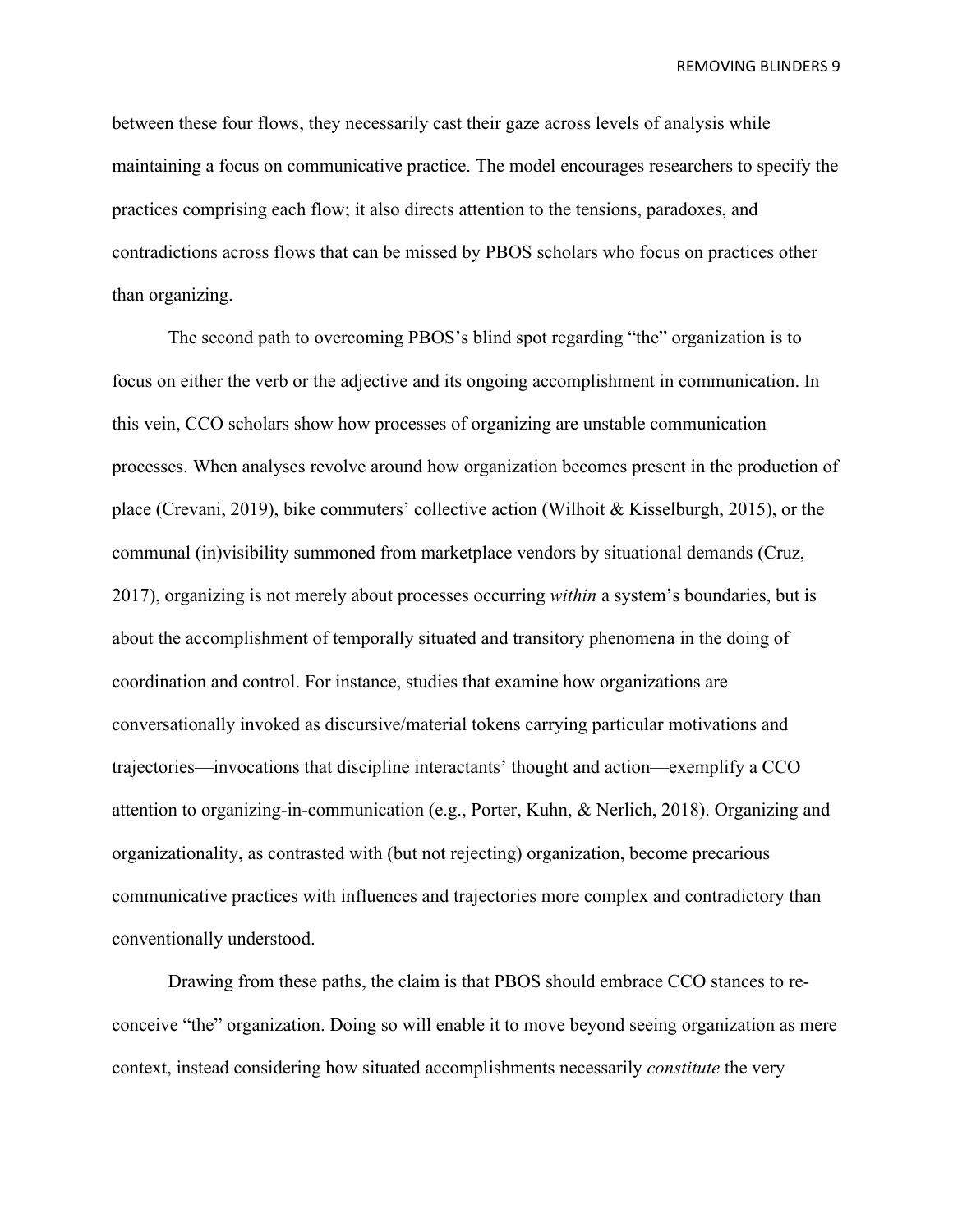between these four flows, they necessarily cast their gaze across levels of analysis while maintaining a focus on communicative practice. The model encourages researchers to specify the practices comprising each flow; it also directs attention to the tensions, paradoxes, and contradictions across flows that can be missed by PBOS scholars who focus on practices other than organizing.

The second path to overcoming PBOS's blind spot regarding "the" organization is to focus on either the verb or the adjective and its ongoing accomplishment in communication. In this vein, CCO scholars show how processes of organizing are unstable communication processes. When analyses revolve around how organization becomes present in the production of place (Crevani, 2019), bike commuters' collective action (Wilhoit & Kisselburgh, 2015), or the communal (in)visibility summoned from marketplace vendors by situational demands (Cruz, 2017), organizing is not merely about processes occurring *within* a system's boundaries, but is about the accomplishment of temporally situated and transitory phenomena in the doing of coordination and control. For instance, studies that examine how organizations are conversationally invoked as discursive/material tokens carrying particular motivations and trajectories—invocations that discipline interactants' thought and action—exemplify a CCO attention to organizing-in-communication (e.g., Porter, Kuhn, & Nerlich, 2018). Organizing and organizationality, as contrasted with (but not rejecting) organization, become precarious communicative practices with influences and trajectories more complex and contradictory than conventionally understood.

Drawing from these paths, the claim is that PBOS should embrace CCO stances to reconceive "the" organization. Doing so will enable it to move beyond seeing organization as mere context, instead considering how situated accomplishments necessarily *constitute* the very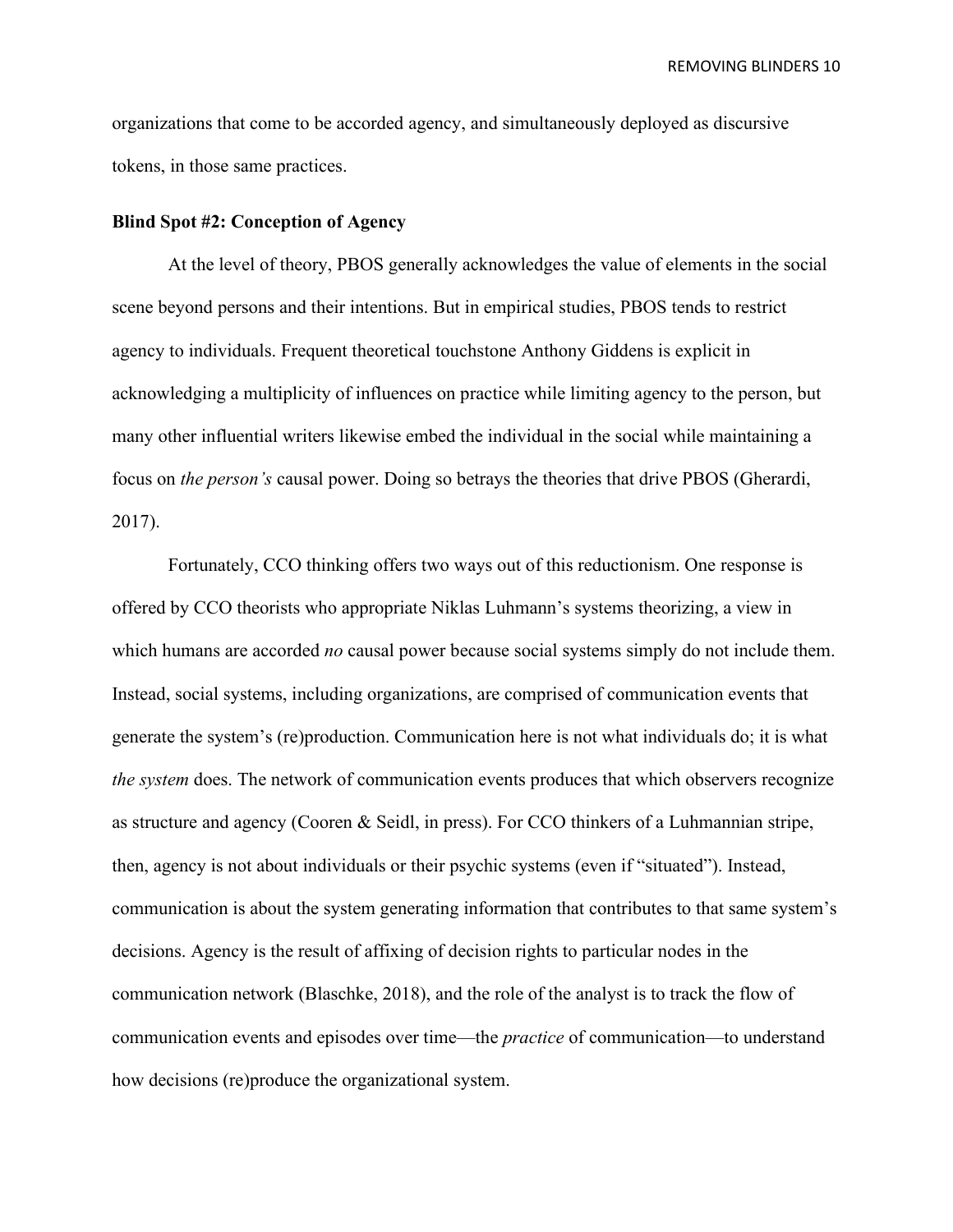organizations that come to be accorded agency, and simultaneously deployed as discursive tokens, in those same practices.

#### **Blind Spot #2: Conception of Agency**

At the level of theory, PBOS generally acknowledges the value of elements in the social scene beyond persons and their intentions. But in empirical studies, PBOS tends to restrict agency to individuals. Frequent theoretical touchstone Anthony Giddens is explicit in acknowledging a multiplicity of influences on practice while limiting agency to the person, but many other influential writers likewise embed the individual in the social while maintaining a focus on *the person's* causal power. Doing so betrays the theories that drive PBOS (Gherardi, 2017).

Fortunately, CCO thinking offers two ways out of this reductionism. One response is offered by CCO theorists who appropriate Niklas Luhmann's systems theorizing, a view in which humans are accorded *no* causal power because social systems simply do not include them. Instead, social systems, including organizations, are comprised of communication events that generate the system's (re)production. Communication here is not what individuals do; it is what *the system* does. The network of communication events produces that which observers recognize as structure and agency (Cooren & Seidl, in press). For CCO thinkers of a Luhmannian stripe, then, agency is not about individuals or their psychic systems (even if "situated"). Instead, communication is about the system generating information that contributes to that same system's decisions. Agency is the result of affixing of decision rights to particular nodes in the communication network (Blaschke, 2018), and the role of the analyst is to track the flow of communication events and episodes over time—the *practice* of communication—to understand how decisions (re)produce the organizational system.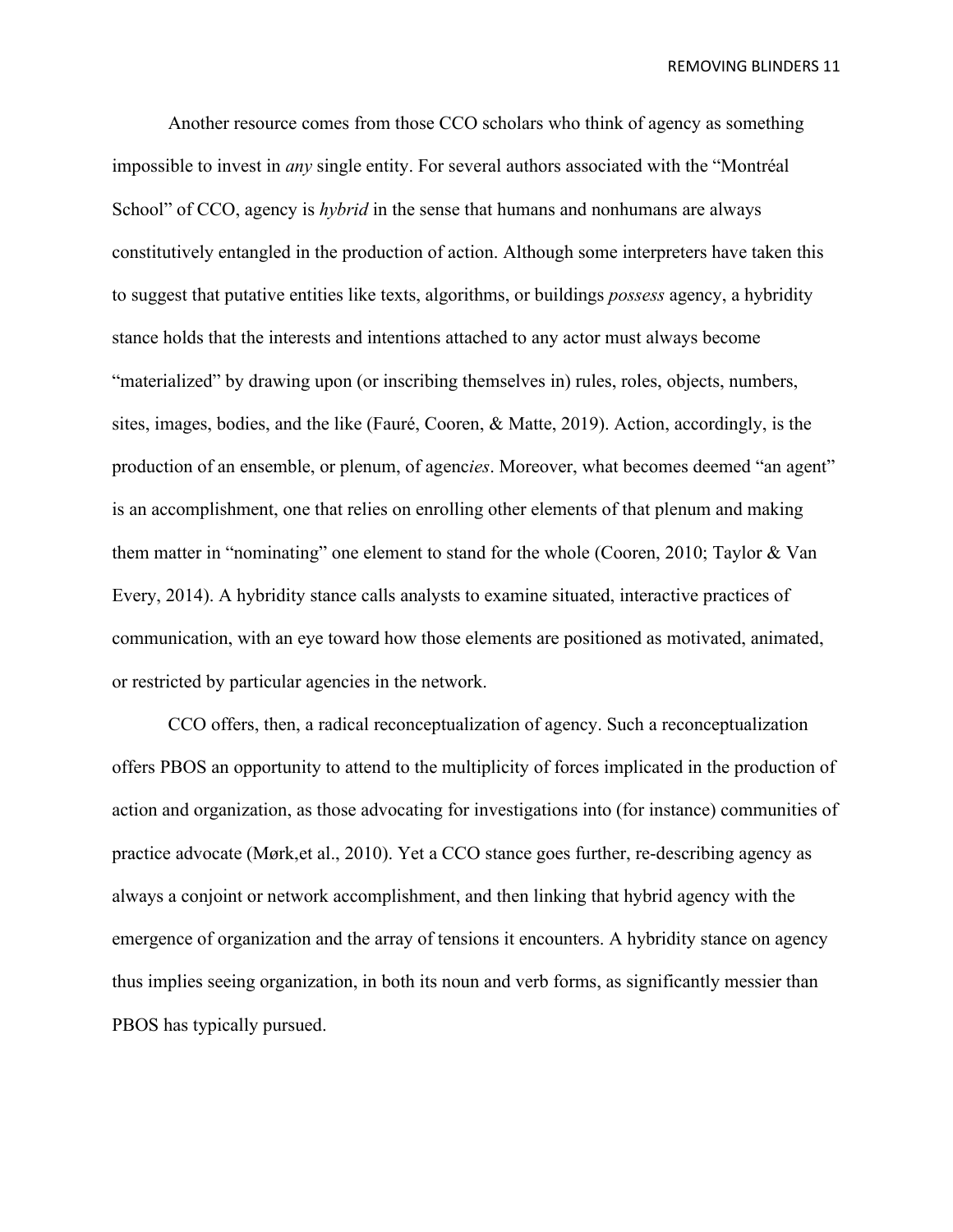Another resource comes from those CCO scholars who think of agency as something impossible to invest in *any* single entity. For several authors associated with the "Montréal School" of CCO, agency is *hybrid* in the sense that humans and nonhumans are always constitutively entangled in the production of action. Although some interpreters have taken this to suggest that putative entities like texts, algorithms, or buildings *possess* agency, a hybridity stance holds that the interests and intentions attached to any actor must always become "materialized" by drawing upon (or inscribing themselves in) rules, roles, objects, numbers, sites, images, bodies, and the like (Fauré, Cooren, & Matte, 2019). Action, accordingly, is the production of an ensemble, or plenum, of agenc*ies*. Moreover, what becomes deemed "an agent" is an accomplishment, one that relies on enrolling other elements of that plenum and making them matter in "nominating" one element to stand for the whole (Cooren, 2010; Taylor & Van Every, 2014). A hybridity stance calls analysts to examine situated, interactive practices of communication, with an eye toward how those elements are positioned as motivated, animated, or restricted by particular agencies in the network.

CCO offers, then, a radical reconceptualization of agency. Such a reconceptualization offers PBOS an opportunity to attend to the multiplicity of forces implicated in the production of action and organization, as those advocating for investigations into (for instance) communities of practice advocate (Mørk,et al., 2010). Yet a CCO stance goes further, re-describing agency as always a conjoint or network accomplishment, and then linking that hybrid agency with the emergence of organization and the array of tensions it encounters. A hybridity stance on agency thus implies seeing organization, in both its noun and verb forms, as significantly messier than PBOS has typically pursued.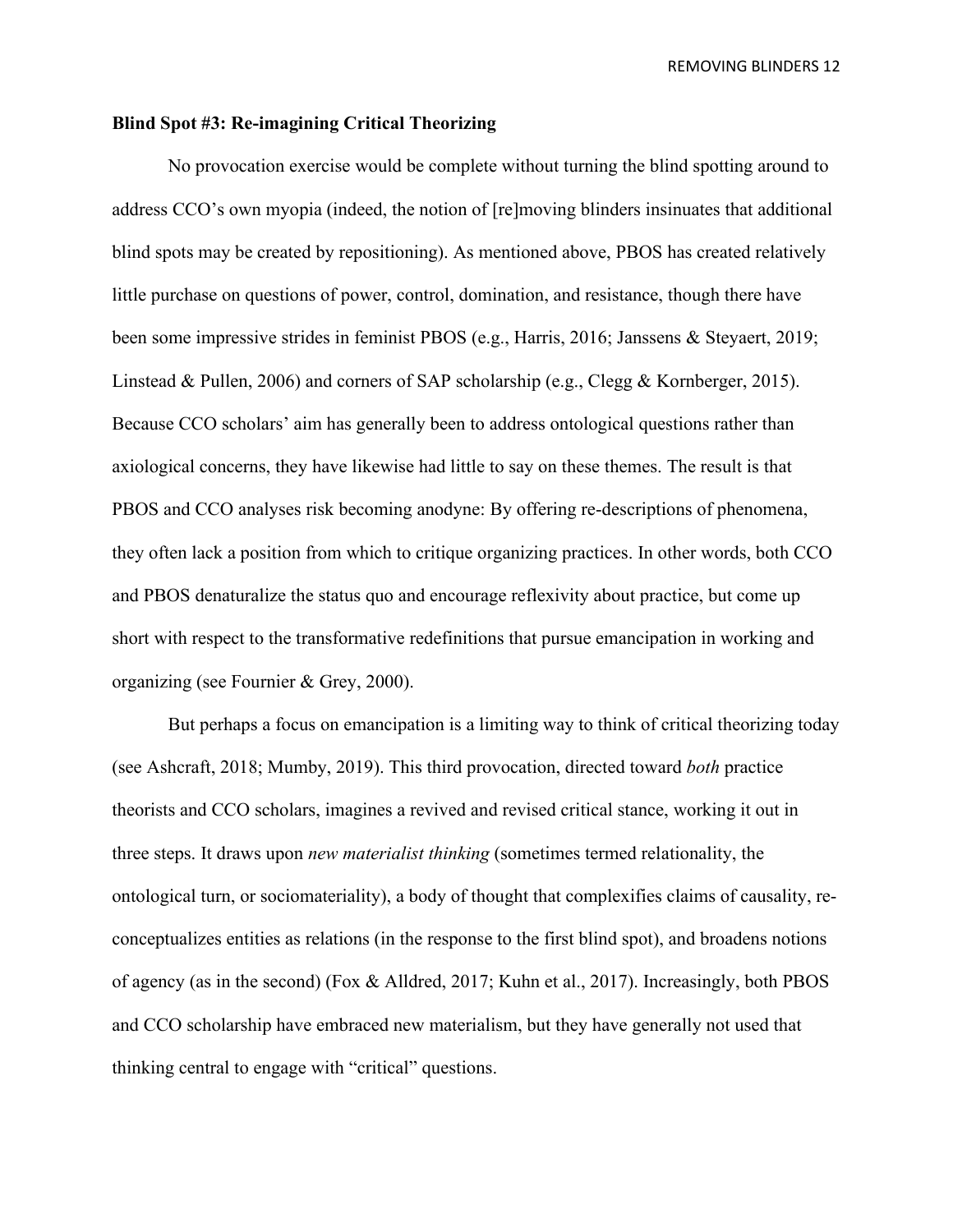### **Blind Spot #3: Re-imagining Critical Theorizing**

No provocation exercise would be complete without turning the blind spotting around to address CCO's own myopia (indeed, the notion of [re]moving blinders insinuates that additional blind spots may be created by repositioning). As mentioned above, PBOS has created relatively little purchase on questions of power, control, domination, and resistance, though there have been some impressive strides in feminist PBOS (e.g., Harris, 2016; Janssens & Steyaert, 2019; Linstead & Pullen, 2006) and corners of SAP scholarship (e.g., Clegg & Kornberger, 2015). Because CCO scholars' aim has generally been to address ontological questions rather than axiological concerns, they have likewise had little to say on these themes. The result is that PBOS and CCO analyses risk becoming anodyne: By offering re-descriptions of phenomena, they often lack a position from which to critique organizing practices. In other words, both CCO and PBOS denaturalize the status quo and encourage reflexivity about practice, but come up short with respect to the transformative redefinitions that pursue emancipation in working and organizing (see Fournier & Grey, 2000).

But perhaps a focus on emancipation is a limiting way to think of critical theorizing today (see Ashcraft, 2018; Mumby, 2019). This third provocation, directed toward *both* practice theorists and CCO scholars, imagines a revived and revised critical stance, working it out in three steps. It draws upon *new materialist thinking* (sometimes termed relationality, the ontological turn, or sociomateriality), a body of thought that complexifies claims of causality, reconceptualizes entities as relations (in the response to the first blind spot), and broadens notions of agency (as in the second) (Fox & Alldred, 2017; Kuhn et al., 2017). Increasingly, both PBOS and CCO scholarship have embraced new materialism, but they have generally not used that thinking central to engage with "critical" questions.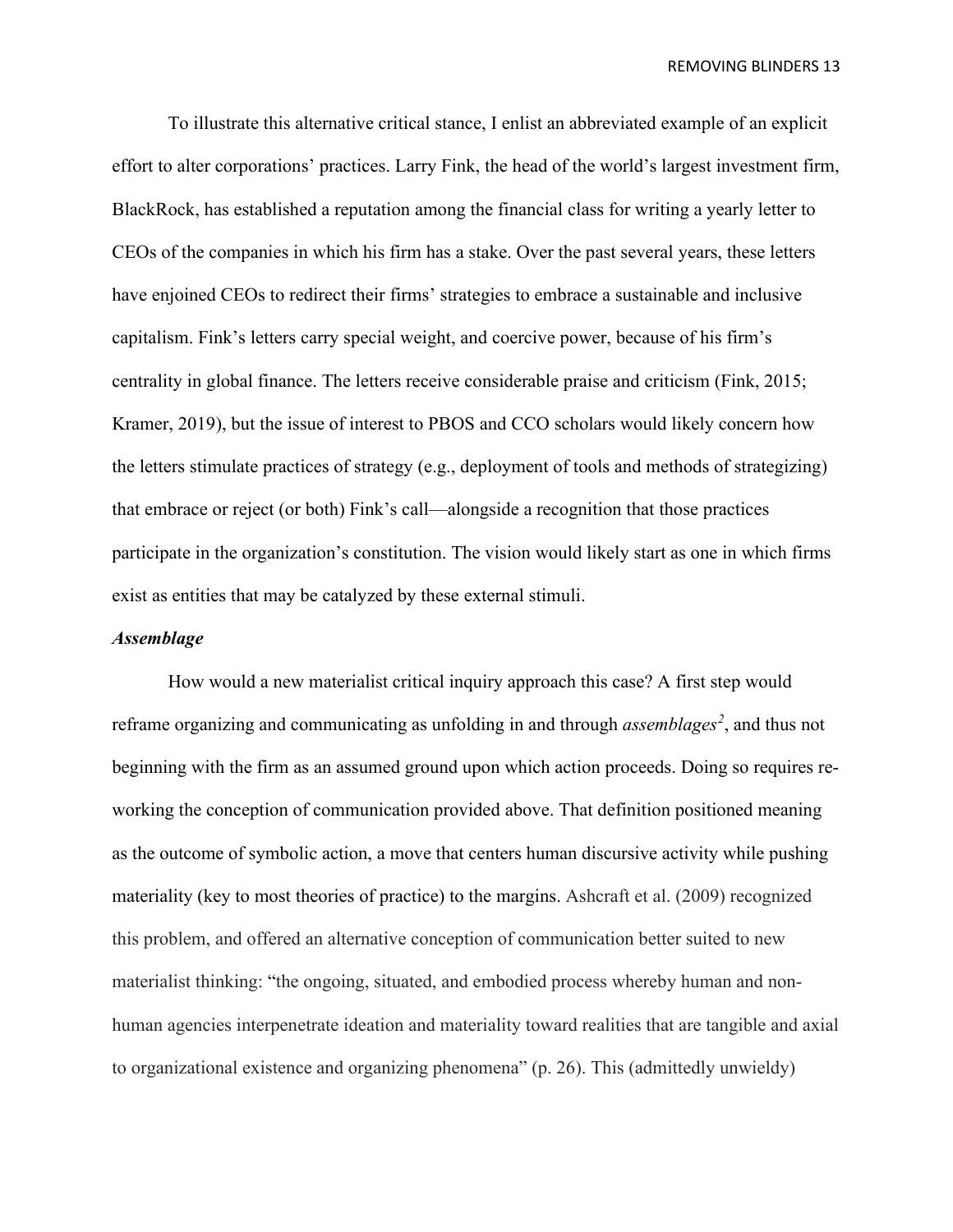To illustrate this alternative critical stance, I enlist an abbreviated example of an explicit effort to alter corporations' practices. Larry Fink, the head of the world's largest investment firm, BlackRock, has established a reputation among the financial class for writing a yearly letter to CEOs of the companies in which his firm has a stake. Over the past several years, these letters have enjoined CEOs to redirect their firms' strategies to embrace a sustainable and inclusive capitalism. Fink's letters carry special weight, and coercive power, because of his firm's centrality in global finance. The letters receive considerable praise and criticism (Fink, 2015; Kramer, 2019), but the issue of interest to PBOS and CCO scholars would likely concern how the letters stimulate practices of strategy (e.g., deployment of tools and methods of strategizing) that embrace or reject (or both) Fink's call—alongside a recognition that those practices participate in the organization's constitution. The vision would likely start as one in which firms exist as entities that may be catalyzed by these external stimuli.

### *Assemblage*

How would a new materialist critical inquiry approach this case? A first step would reframe organizing and communicating as unfolding in and through *assemblages[2](#page-28-0)* , and thus not beginning with the firm as an assumed ground upon which action proceeds. Doing so requires reworking the conception of communication provided above. That definition positioned meaning as the outcome of symbolic action, a move that centers human discursive activity while pushing materiality (key to most theories of practice) to the margins. Ashcraft et al. (2009) recognized this problem, and offered an alternative conception of communication better suited to new materialist thinking: "the ongoing, situated, and embodied process whereby human and nonhuman agencies interpenetrate ideation and materiality toward realities that are tangible and axial to organizational existence and organizing phenomena" (p. 26). This (admittedly unwieldy)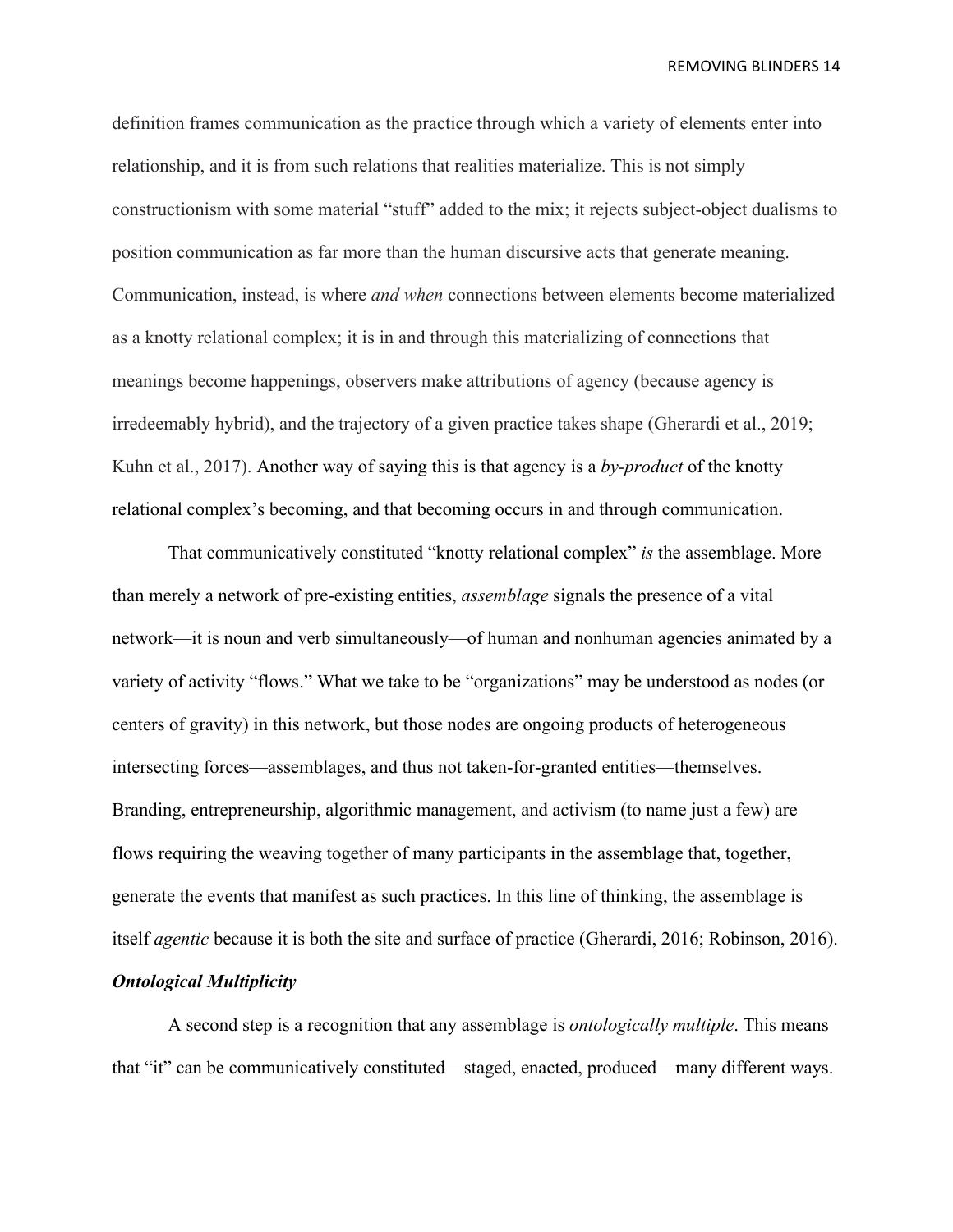definition frames communication as the practice through which a variety of elements enter into relationship, and it is from such relations that realities materialize. This is not simply constructionism with some material "stuff" added to the mix; it rejects subject-object dualisms to position communication as far more than the human discursive acts that generate meaning. Communication, instead, is where *and when* connections between elements become materialized as a knotty relational complex; it is in and through this materializing of connections that meanings become happenings, observers make attributions of agency (because agency is irredeemably hybrid), and the trajectory of a given practice takes shape (Gherardi et al., 2019; Kuhn et al., 2017). Another way of saying this is that agency is a *by-product* of the knotty relational complex's becoming, and that becoming occurs in and through communication.

That communicatively constituted "knotty relational complex" *is* the assemblage. More than merely a network of pre-existing entities, *assemblage* signals the presence of a vital network—it is noun and verb simultaneously—of human and nonhuman agencies animated by a variety of activity "flows." What we take to be "organizations" may be understood as nodes (or centers of gravity) in this network, but those nodes are ongoing products of heterogeneous intersecting forces—assemblages, and thus not taken-for-granted entities—themselves. Branding, entrepreneurship, algorithmic management, and activism (to name just a few) are flows requiring the weaving together of many participants in the assemblage that, together, generate the events that manifest as such practices. In this line of thinking, the assemblage is itself *agentic* because it is both the site and surface of practice (Gherardi, 2016; Robinson, 2016).

# *Ontological Multiplicity*

A second step is a recognition that any assemblage is *ontologically multiple*. This means that "it" can be communicatively constituted—staged, enacted, produced—many different ways.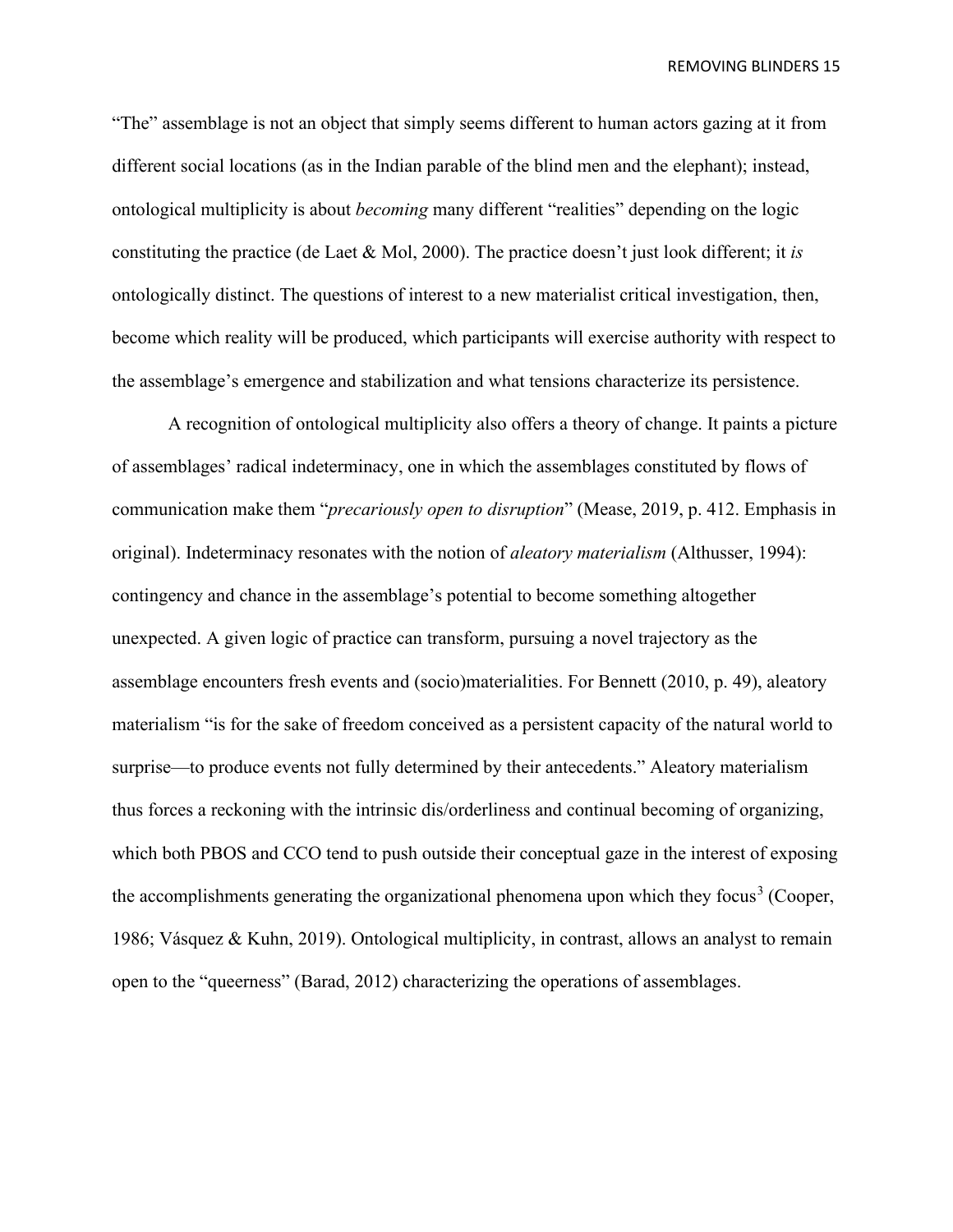"The" assemblage is not an object that simply seems different to human actors gazing at it from different social locations (as in the Indian parable of the blind men and the elephant); instead, ontological multiplicity is about *becoming* many different "realities" depending on the logic constituting the practice (de Laet & Mol, 2000). The practice doesn't just look different; it *is*  ontologically distinct. The questions of interest to a new materialist critical investigation, then, become which reality will be produced, which participants will exercise authority with respect to the assemblage's emergence and stabilization and what tensions characterize its persistence.

A recognition of ontological multiplicity also offers a theory of change. It paints a picture of assemblages' radical indeterminacy, one in which the assemblages constituted by flows of communication make them "*precariously open to disruption*" (Mease, 2019, p. 412. Emphasis in original). Indeterminacy resonates with the notion of *aleatory materialism* (Althusser, 1994): contingency and chance in the assemblage's potential to become something altogether unexpected. A given logic of practice can transform, pursuing a novel trajectory as the assemblage encounters fresh events and (socio)materialities. For Bennett (2010, p. 49), aleatory materialism "is for the sake of freedom conceived as a persistent capacity of the natural world to surprise—to produce events not fully determined by their antecedents." Aleatory materialism thus forces a reckoning with the intrinsic dis/orderliness and continual becoming of organizing, which both PBOS and CCO tend to push outside their conceptual gaze in the interest of exposing the accomplishments generating the organizational phenomena upon which they focus<sup>[3](#page-28-1)</sup> (Cooper, 1986; Vásquez & Kuhn, 2019). Ontological multiplicity, in contrast, allows an analyst to remain open to the "queerness" (Barad, 2012) characterizing the operations of assemblages.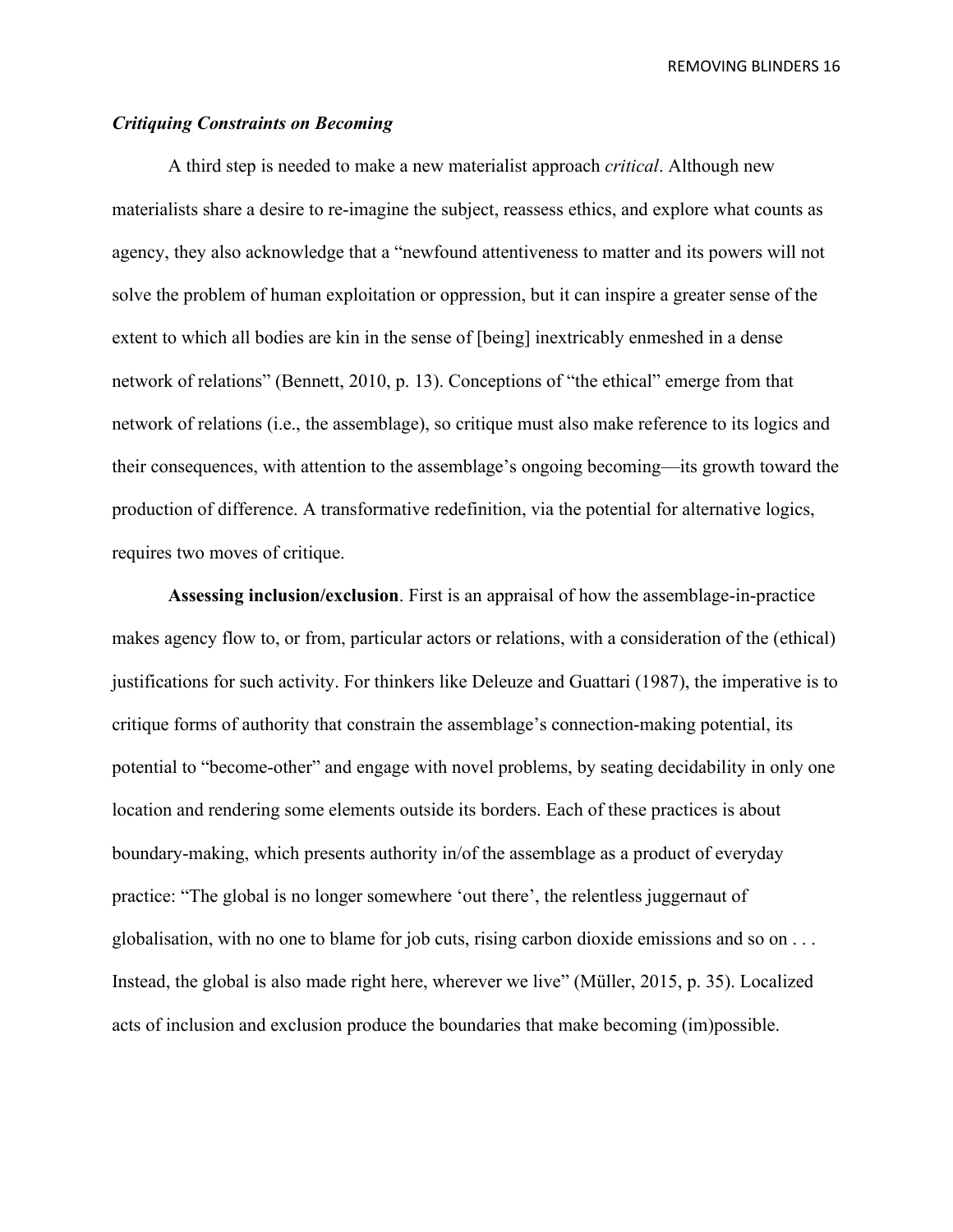### *Critiquing Constraints on Becoming*

A third step is needed to make a new materialist approach *critical*. Although new materialists share a desire to re-imagine the subject, reassess ethics, and explore what counts as agency, they also acknowledge that a "newfound attentiveness to matter and its powers will not solve the problem of human exploitation or oppression, but it can inspire a greater sense of the extent to which all bodies are kin in the sense of [being] inextricably enmeshed in a dense network of relations" (Bennett, 2010, p. 13). Conceptions of "the ethical" emerge from that network of relations (i.e., the assemblage), so critique must also make reference to its logics and their consequences, with attention to the assemblage's ongoing becoming—its growth toward the production of difference. A transformative redefinition, via the potential for alternative logics, requires two moves of critique.

**Assessing inclusion/exclusion**. First is an appraisal of how the assemblage-in-practice makes agency flow to, or from, particular actors or relations, with a consideration of the (ethical) justifications for such activity. For thinkers like Deleuze and Guattari (1987), the imperative is to critique forms of authority that constrain the assemblage's connection-making potential, its potential to "become-other" and engage with novel problems, by seating decidability in only one location and rendering some elements outside its borders. Each of these practices is about boundary-making, which presents authority in/of the assemblage as a product of everyday practice: "The global is no longer somewhere 'out there', the relentless juggernaut of globalisation, with no one to blame for job cuts, rising carbon dioxide emissions and so on . . . Instead, the global is also made right here, wherever we live" (Müller, 2015, p. 35). Localized acts of inclusion and exclusion produce the boundaries that make becoming (im)possible.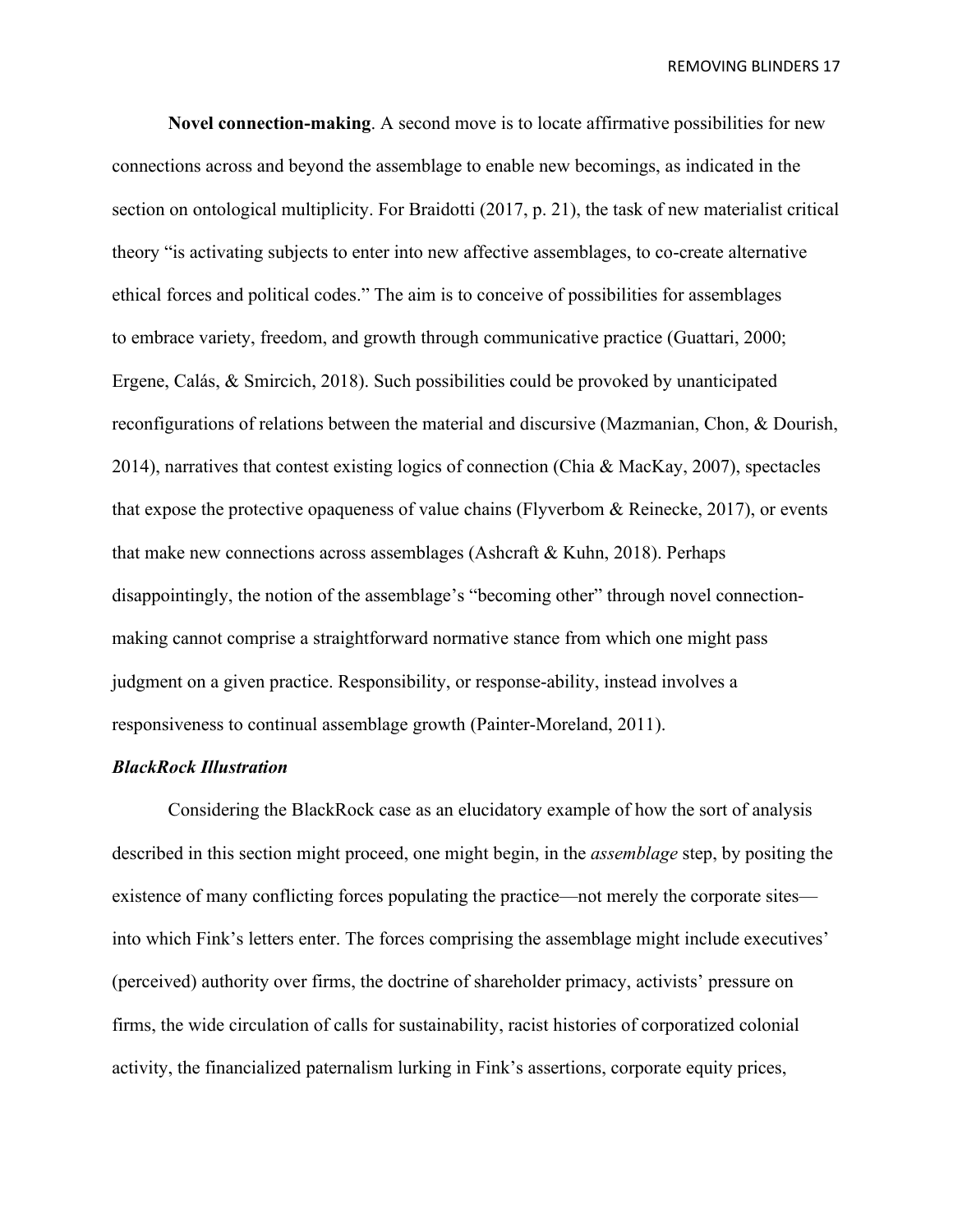**Novel connection-making**. A second move is to locate affirmative possibilities for new connections across and beyond the assemblage to enable new becomings, as indicated in the section on ontological multiplicity. For Braidotti (2017, p. 21), the task of new materialist critical theory "is activating subjects to enter into new affective assemblages, to co-create alternative ethical forces and political codes." The aim is to conceive of possibilities for assemblages to embrace variety, freedom, and growth through communicative practice (Guattari, 2000; Ergene, Calás, & Smircich, 2018). Such possibilities could be provoked by unanticipated reconfigurations of relations between the material and discursive (Mazmanian, Chon, & Dourish, 2014), narratives that contest existing logics of connection (Chia & MacKay, 2007), spectacles that expose the protective opaqueness of value chains (Flyverbom & Reinecke, 2017), or events that make new connections across assemblages (Ashcraft & Kuhn, 2018). Perhaps disappointingly, the notion of the assemblage's "becoming other" through novel connectionmaking cannot comprise a straightforward normative stance from which one might pass judgment on a given practice. Responsibility, or response-ability, instead involves a responsiveness to continual assemblage growth (Painter-Moreland, 2011).

#### *BlackRock Illustration*

Considering the BlackRock case as an elucidatory example of how the sort of analysis described in this section might proceed, one might begin, in the *assemblage* step, by positing the existence of many conflicting forces populating the practice—not merely the corporate sites into which Fink's letters enter. The forces comprising the assemblage might include executives' (perceived) authority over firms, the doctrine of shareholder primacy, activists' pressure on firms, the wide circulation of calls for sustainability, racist histories of corporatized colonial activity, the financialized paternalism lurking in Fink's assertions, corporate equity prices,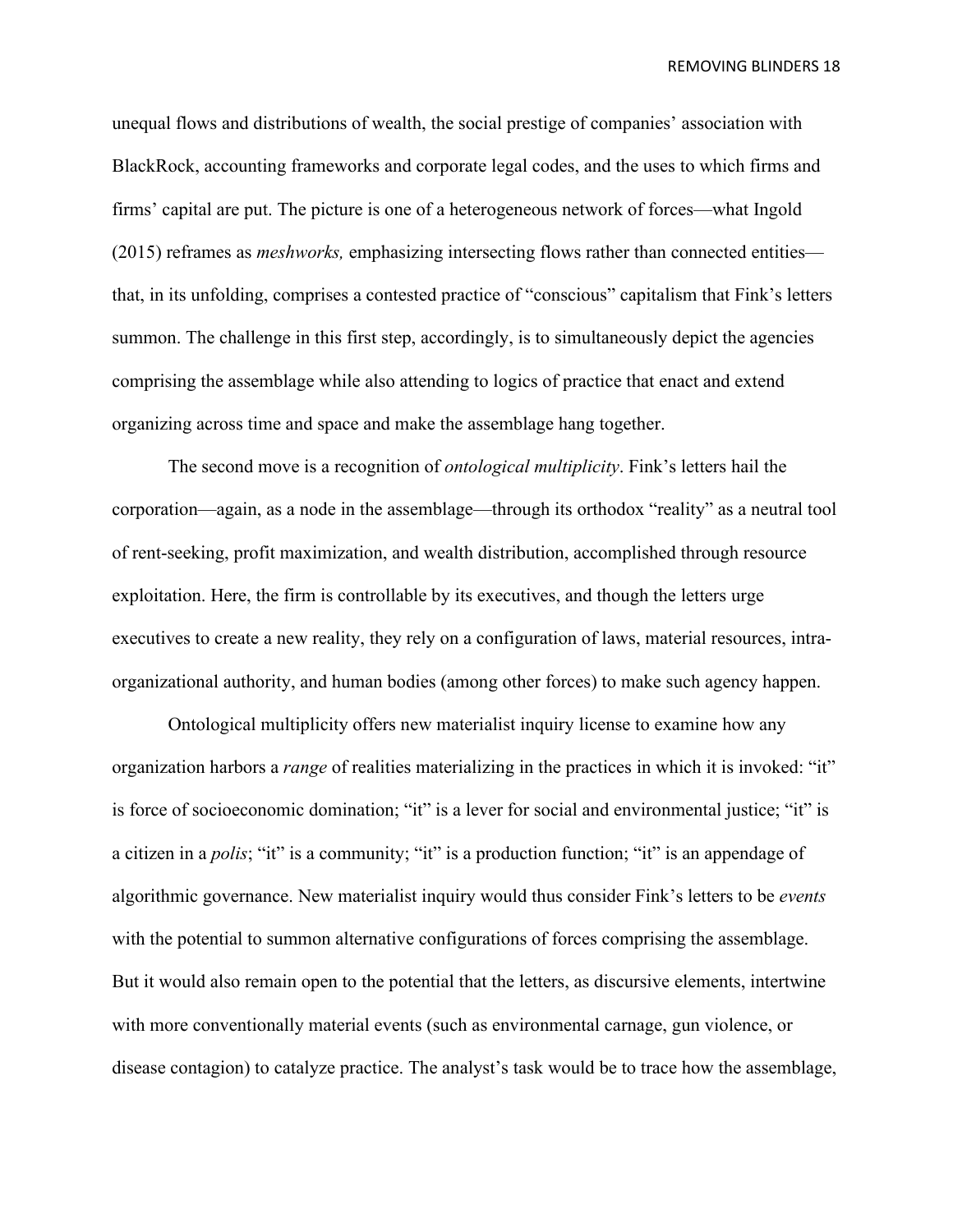unequal flows and distributions of wealth, the social prestige of companies' association with BlackRock, accounting frameworks and corporate legal codes, and the uses to which firms and firms' capital are put. The picture is one of a heterogeneous network of forces—what Ingold (2015) reframes as *meshworks,* emphasizing intersecting flows rather than connected entities that, in its unfolding, comprises a contested practice of "conscious" capitalism that Fink's letters summon. The challenge in this first step, accordingly, is to simultaneously depict the agencies comprising the assemblage while also attending to logics of practice that enact and extend organizing across time and space and make the assemblage hang together.

The second move is a recognition of *ontological multiplicity*. Fink's letters hail the corporation—again, as a node in the assemblage—through its orthodox "reality" as a neutral tool of rent-seeking, profit maximization, and wealth distribution, accomplished through resource exploitation. Here, the firm is controllable by its executives, and though the letters urge executives to create a new reality, they rely on a configuration of laws, material resources, intraorganizational authority, and human bodies (among other forces) to make such agency happen.

Ontological multiplicity offers new materialist inquiry license to examine how any organization harbors a *range* of realities materializing in the practices in which it is invoked: "it" is force of socioeconomic domination; "it" is a lever for social and environmental justice; "it" is a citizen in a *polis*; "it" is a community; "it" is a production function; "it" is an appendage of algorithmic governance. New materialist inquiry would thus consider Fink's letters to be *events* with the potential to summon alternative configurations of forces comprising the assemblage. But it would also remain open to the potential that the letters, as discursive elements, intertwine with more conventionally material events (such as environmental carnage, gun violence, or disease contagion) to catalyze practice. The analyst's task would be to trace how the assemblage,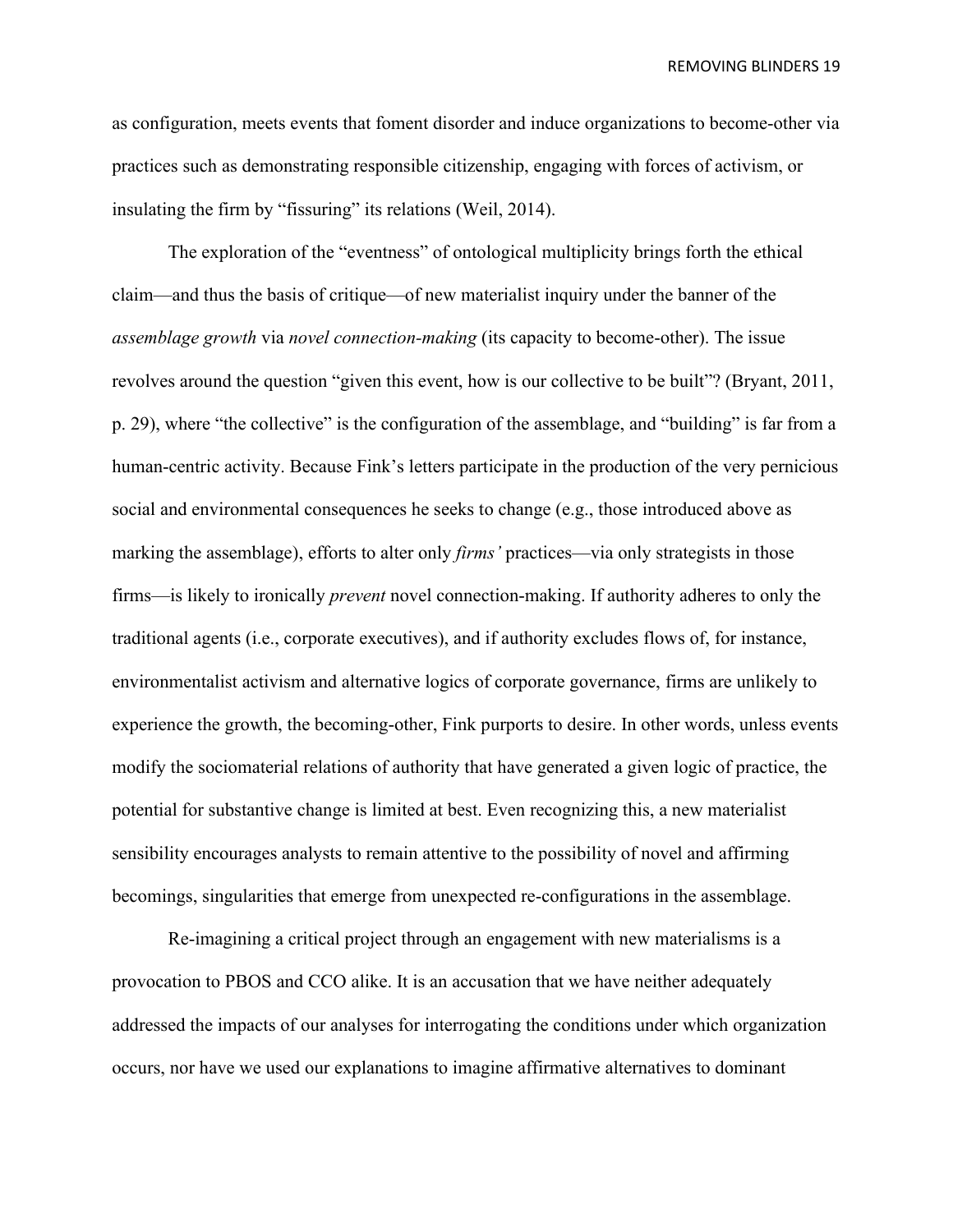as configuration, meets events that foment disorder and induce organizations to become-other via practices such as demonstrating responsible citizenship, engaging with forces of activism, or insulating the firm by "fissuring" its relations (Weil, 2014).

The exploration of the "eventness" of ontological multiplicity brings forth the ethical claim—and thus the basis of critique—of new materialist inquiry under the banner of the *assemblage growth* via *novel connection-making* (its capacity to become-other). The issue revolves around the question "given this event, how is our collective to be built"? (Bryant, 2011, p. 29), where "the collective" is the configuration of the assemblage, and "building" is far from a human-centric activity. Because Fink's letters participate in the production of the very pernicious social and environmental consequences he seeks to change (e.g., those introduced above as marking the assemblage), efforts to alter only *firms'* practices—via only strategists in those firms—is likely to ironically *prevent* novel connection-making. If authority adheres to only the traditional agents (i.e., corporate executives), and if authority excludes flows of, for instance, environmentalist activism and alternative logics of corporate governance, firms are unlikely to experience the growth, the becoming-other, Fink purports to desire. In other words, unless events modify the sociomaterial relations of authority that have generated a given logic of practice, the potential for substantive change is limited at best. Even recognizing this, a new materialist sensibility encourages analysts to remain attentive to the possibility of novel and affirming becomings, singularities that emerge from unexpected re-configurations in the assemblage.

Re-imagining a critical project through an engagement with new materialisms is a provocation to PBOS and CCO alike. It is an accusation that we have neither adequately addressed the impacts of our analyses for interrogating the conditions under which organization occurs, nor have we used our explanations to imagine affirmative alternatives to dominant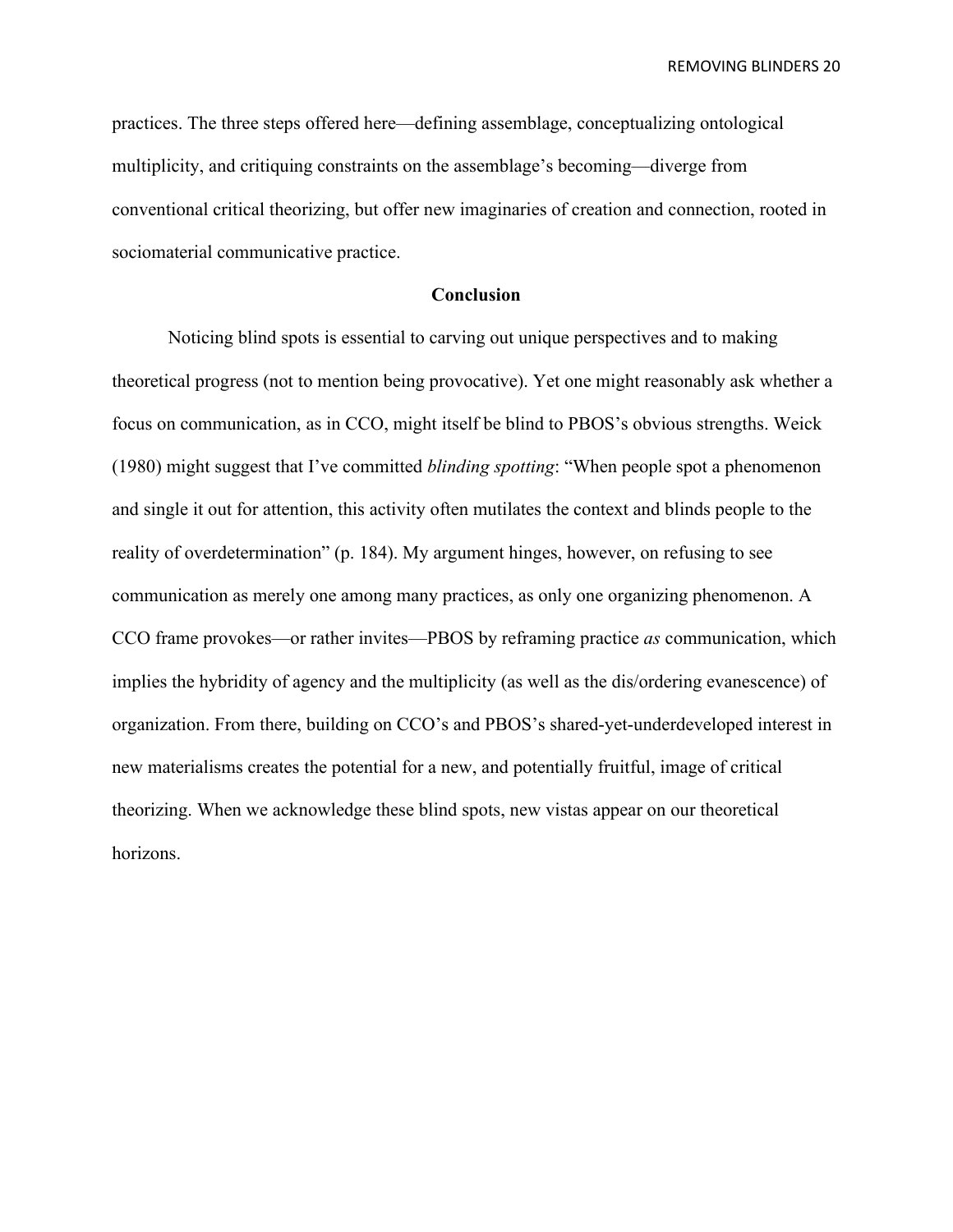practices. The three steps offered here—defining assemblage, conceptualizing ontological multiplicity, and critiquing constraints on the assemblage's becoming—diverge from conventional critical theorizing, but offer new imaginaries of creation and connection, rooted in sociomaterial communicative practice.

#### **Conclusion**

Noticing blind spots is essential to carving out unique perspectives and to making theoretical progress (not to mention being provocative). Yet one might reasonably ask whether a focus on communication, as in CCO, might itself be blind to PBOS's obvious strengths. Weick (1980) might suggest that I've committed *blinding spotting*: "When people spot a phenomenon and single it out for attention, this activity often mutilates the context and blinds people to the reality of overdetermination" (p. 184). My argument hinges, however, on refusing to see communication as merely one among many practices, as only one organizing phenomenon. A CCO frame provokes—or rather invites—PBOS by reframing practice *as* communication, which implies the hybridity of agency and the multiplicity (as well as the dis/ordering evanescence) of organization. From there, building on CCO's and PBOS's shared-yet-underdeveloped interest in new materialisms creates the potential for a new, and potentially fruitful, image of critical theorizing. When we acknowledge these blind spots, new vistas appear on our theoretical horizons.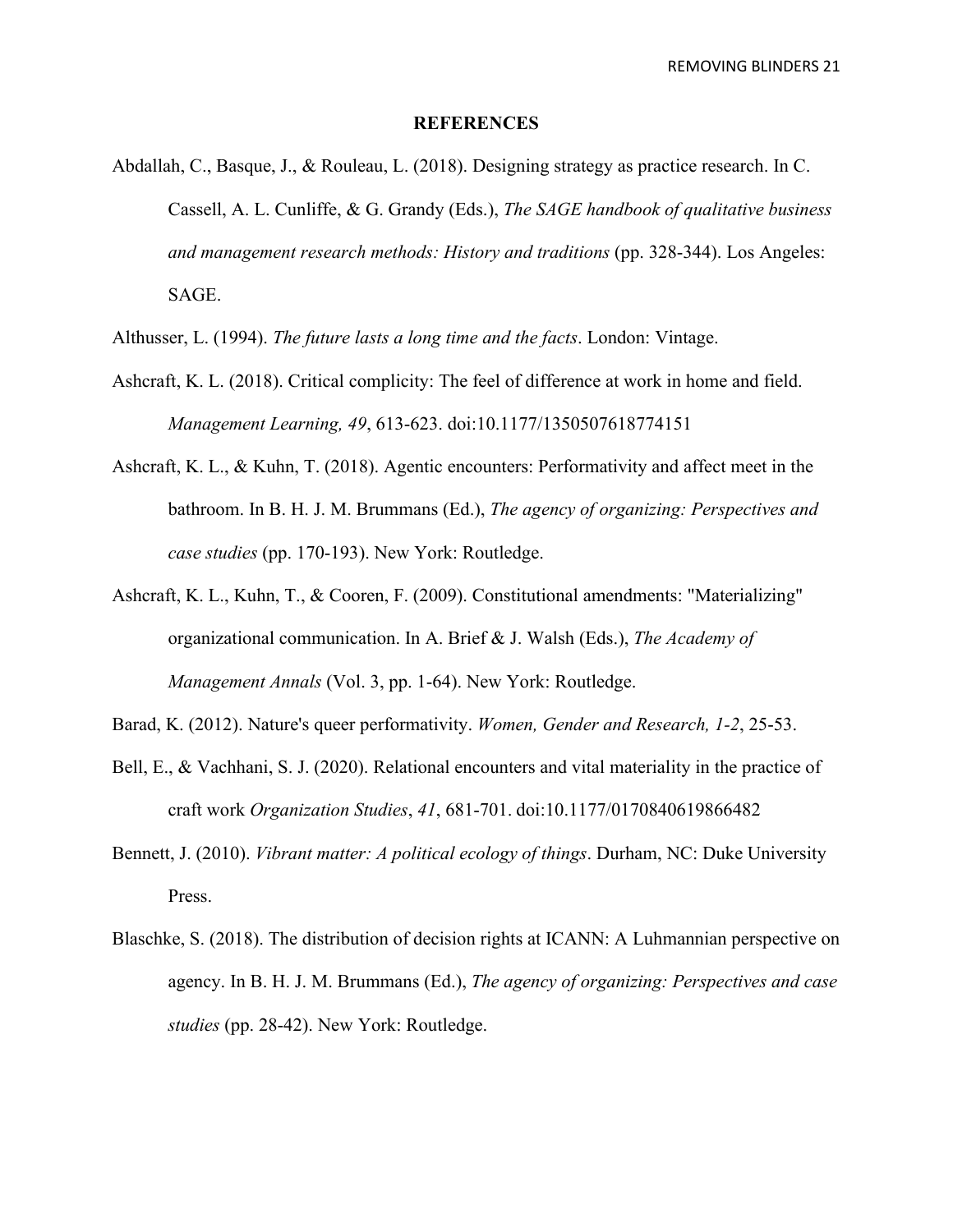#### **REFERENCES**

- Abdallah, C., Basque, J., & Rouleau, L. (2018). Designing strategy as practice research. In C. Cassell, A. L. Cunliffe, & G. Grandy (Eds.), *The SAGE handbook of qualitative business and management research methods: History and traditions* (pp. 328-344). Los Angeles: SAGE.
- Althusser, L. (1994). *The future lasts a long time and the facts*. London: Vintage.
- Ashcraft, K. L. (2018). Critical complicity: The feel of difference at work in home and field. *Management Learning, 49*, 613-623. doi:10.1177/1350507618774151
- Ashcraft, K. L., & Kuhn, T. (2018). Agentic encounters: Performativity and affect meet in the bathroom. In B. H. J. M. Brummans (Ed.), *The agency of organizing: Perspectives and case studies* (pp. 170-193). New York: Routledge.
- Ashcraft, K. L., Kuhn, T., & Cooren, F. (2009). Constitutional amendments: "Materializing" organizational communication. In A. Brief & J. Walsh (Eds.), *The Academy of Management Annals* (Vol. 3, pp. 1-64). New York: Routledge.
- Barad, K. (2012). Nature's queer performativity. *Women, Gender and Research, 1-2*, 25-53.
- Bell, E., & Vachhani, S. J. (2020). Relational encounters and vital materiality in the practice of craft work *Organization Studies*, *41*, 681-701. doi:10.1177/0170840619866482
- Bennett, J. (2010). *Vibrant matter: A political ecology of things*. Durham, NC: Duke University Press.
- Blaschke, S. (2018). The distribution of decision rights at ICANN: A Luhmannian perspective on agency. In B. H. J. M. Brummans (Ed.), *The agency of organizing: Perspectives and case studies* (pp. 28-42). New York: Routledge.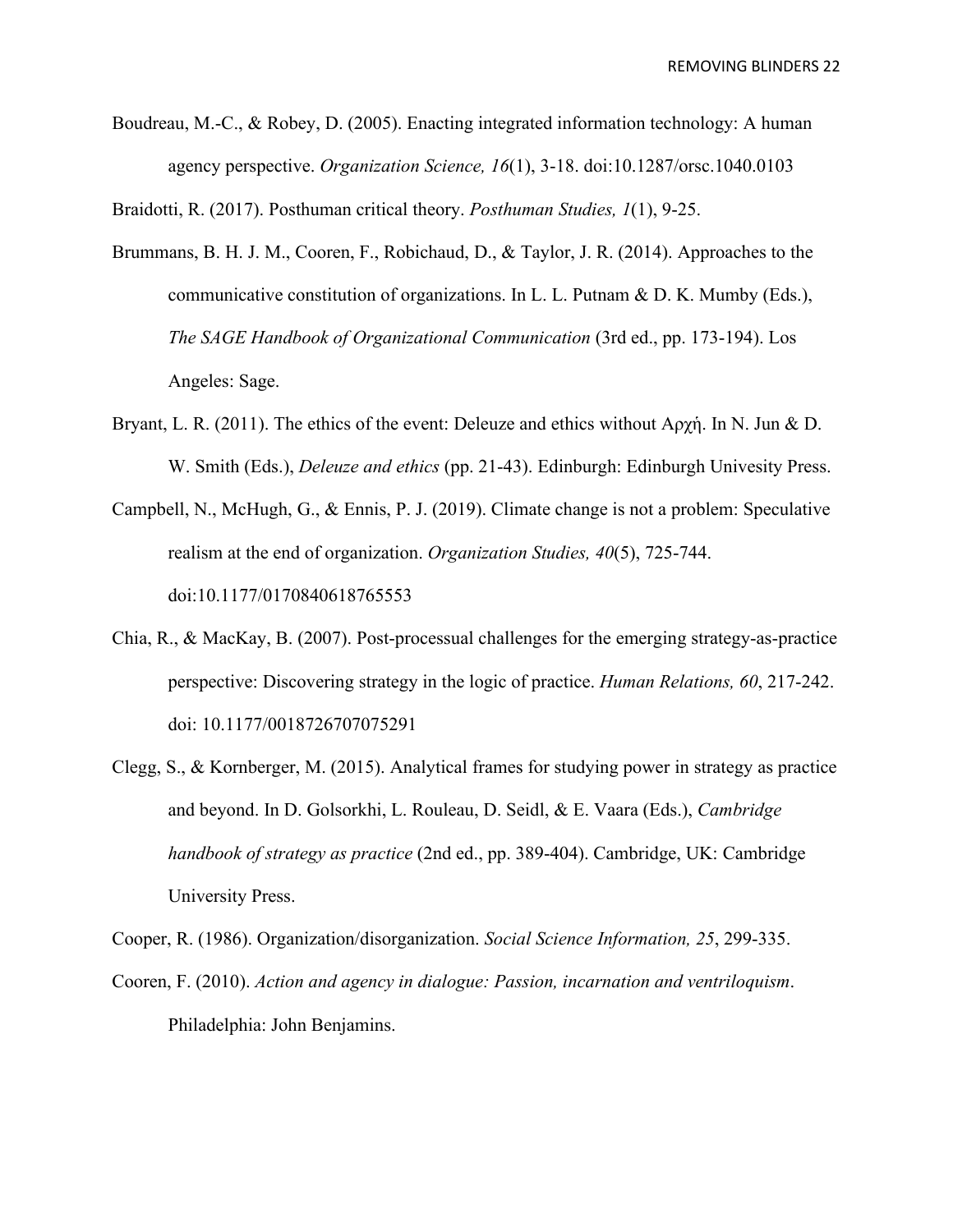Boudreau, M.-C., & Robey, D. (2005). Enacting integrated information technology: A human agency perspective. *Organization Science, 16*(1), 3-18. doi:10.1287/orsc.1040.0103

Braidotti, R. (2017). Posthuman critical theory. *Posthuman Studies, 1*(1), 9-25.

- Brummans, B. H. J. M., Cooren, F., Robichaud, D., & Taylor, J. R. (2014). Approaches to the communicative constitution of organizations. In L. L. Putnam  $\&$  D. K. Mumby (Eds.), *The SAGE Handbook of Organizational Communication* (3rd ed., pp. 173-194). Los Angeles: Sage.
- Bryant, L. R. (2011). The ethics of the event: Deleuze and ethics without Αρχἡ. In N. Jun & D. W. Smith (Eds.), *Deleuze and ethics* (pp. 21-43). Edinburgh: Edinburgh Univesity Press.
- Campbell, N., McHugh, G., & Ennis, P. J. (2019). Climate change is not a problem: Speculative realism at the end of organization. *Organization Studies, 40*(5), 725-744. doi:10.1177/0170840618765553
- Chia, R., & MacKay, B. (2007). Post-processual challenges for the emerging strategy-as-practice perspective: Discovering strategy in the logic of practice. *Human Relations, 60*, 217-242. doi: 10.1177/0018726707075291
- Clegg, S., & Kornberger, M. (2015). Analytical frames for studying power in strategy as practice and beyond. In D. Golsorkhi, L. Rouleau, D. Seidl, & E. Vaara (Eds.), *Cambridge handbook of strategy as practice* (2nd ed., pp. 389-404). Cambridge, UK: Cambridge University Press.

Cooper, R. (1986). Organization/disorganization. *Social Science Information, 25*, 299-335.

Cooren, F. (2010). *Action and agency in dialogue: Passion, incarnation and ventriloquism*. Philadelphia: John Benjamins.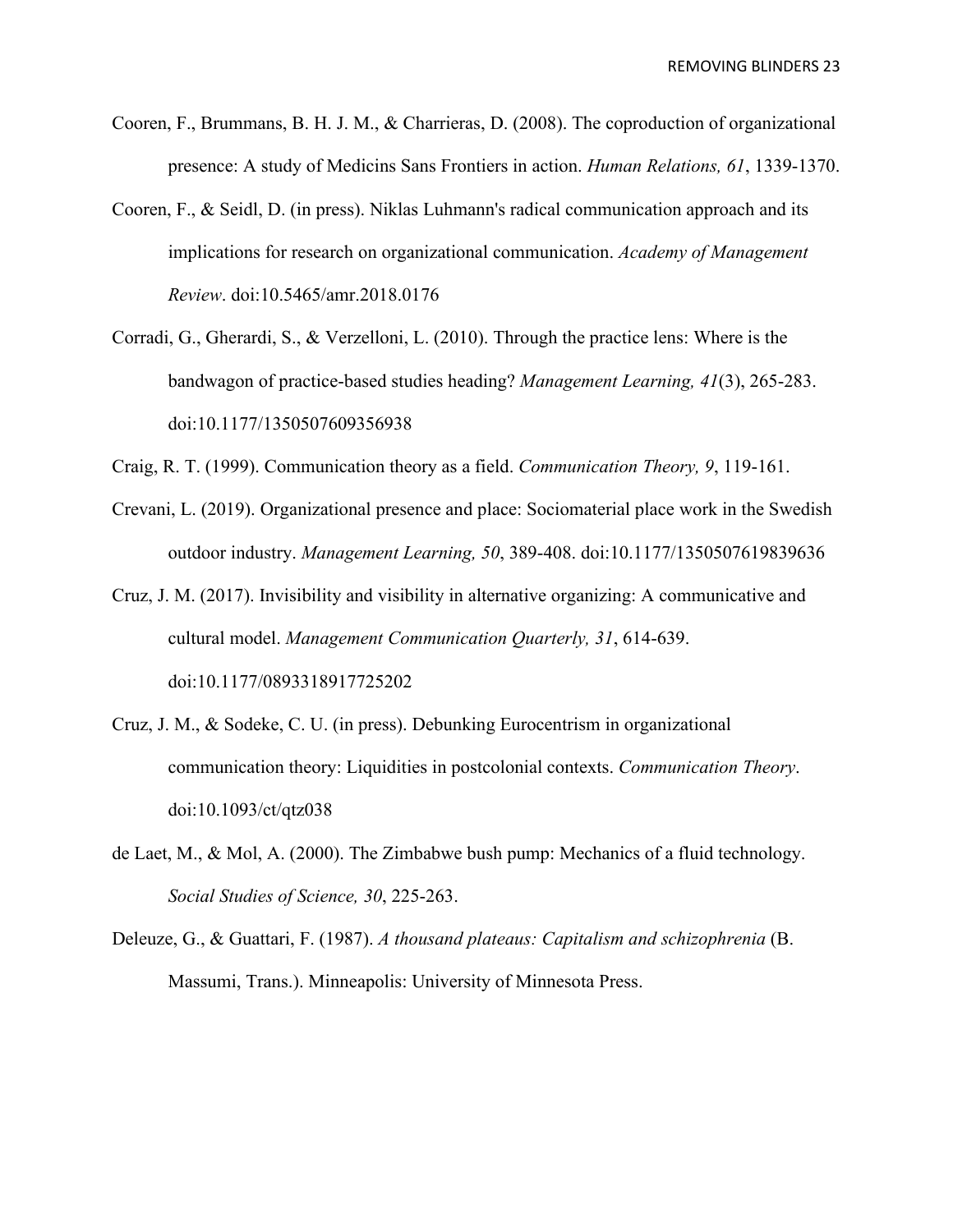- Cooren, F., Brummans, B. H. J. M., & Charrieras, D. (2008). The coproduction of organizational presence: A study of Medicins Sans Frontiers in action. *Human Relations, 61*, 1339-1370.
- Cooren, F., & Seidl, D. (in press). Niklas Luhmann's radical communication approach and its implications for research on organizational communication. *Academy of Management Review*. doi:10.5465/amr.2018.0176
- Corradi, G., Gherardi, S., & Verzelloni, L. (2010). Through the practice lens: Where is the bandwagon of practice-based studies heading? *Management Learning, 41*(3), 265-283. doi:10.1177/1350507609356938
- Craig, R. T. (1999). Communication theory as a field. *Communication Theory, 9*, 119-161.
- Crevani, L. (2019). Organizational presence and place: Sociomaterial place work in the Swedish outdoor industry. *Management Learning, 50*, 389-408. doi:10.1177/1350507619839636
- Cruz, J. M. (2017). Invisibility and visibility in alternative organizing: A communicative and cultural model. *Management Communication Quarterly, 31*, 614-639. doi:10.1177/0893318917725202
- Cruz, J. M., & Sodeke, C. U. (in press). Debunking Eurocentrism in organizational communication theory: Liquidities in postcolonial contexts. *Communication Theory*. doi:10.1093/ct/qtz038
- de Laet, M., & Mol, A. (2000). The Zimbabwe bush pump: Mechanics of a fluid technology. *Social Studies of Science, 30*, 225-263.
- Deleuze, G., & Guattari, F. (1987). *A thousand plateaus: Capitalism and schizophrenia* (B. Massumi, Trans.). Minneapolis: University of Minnesota Press.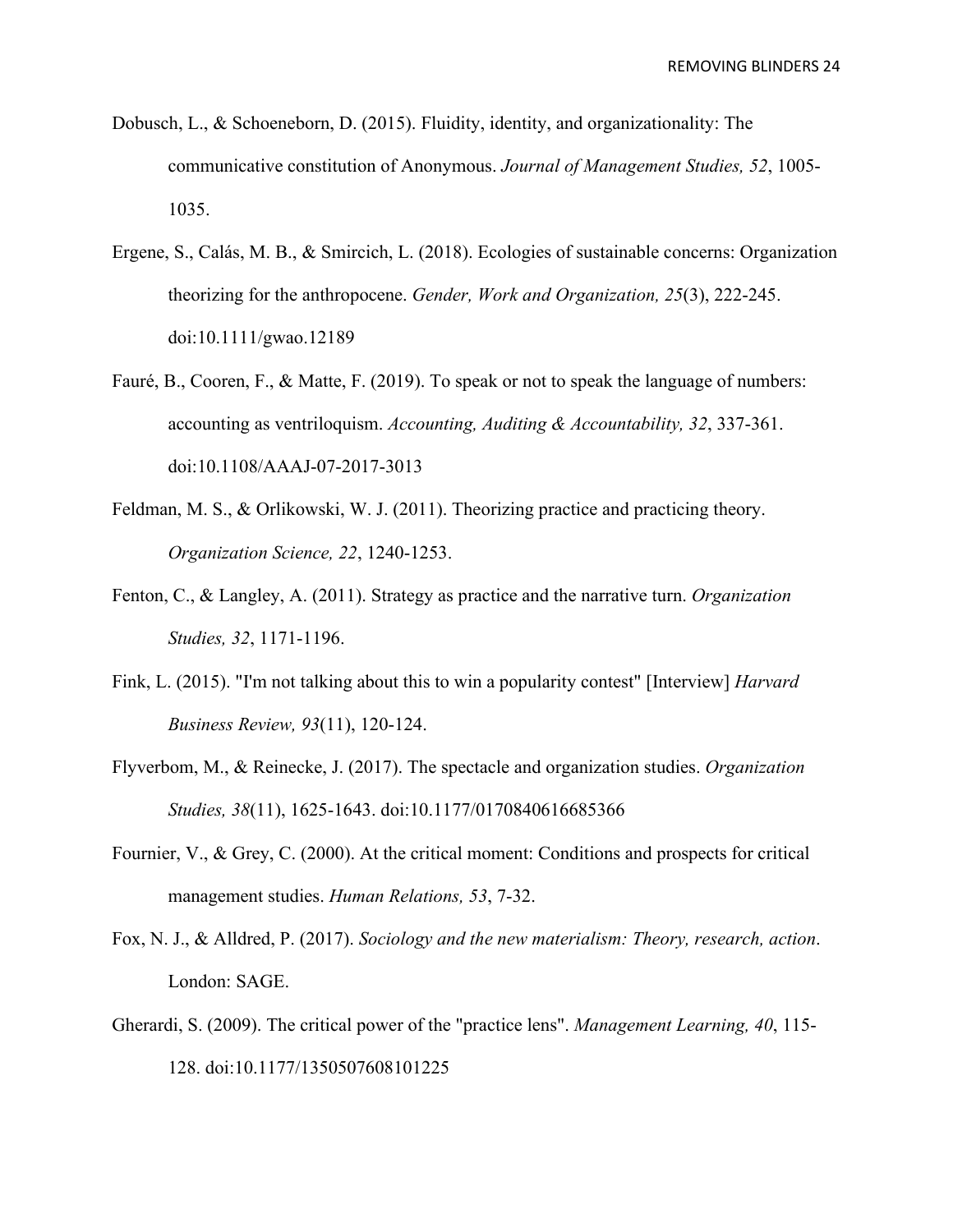- Dobusch, L., & Schoeneborn, D. (2015). Fluidity, identity, and organizationality: The communicative constitution of Anonymous. *Journal of Management Studies, 52*, 1005- 1035.
- Ergene, S., Calás, M. B., & Smircich, L. (2018). Ecologies of sustainable concerns: Organization theorizing for the anthropocene. *Gender, Work and Organization, 25*(3), 222-245. doi:10.1111/gwao.12189
- Fauré, B., Cooren, F., & Matte, F. (2019). To speak or not to speak the language of numbers: accounting as ventriloquism. *Accounting, Auditing & Accountability, 32*, 337-361. doi:10.1108/AAAJ-07-2017-3013
- Feldman, M. S., & Orlikowski, W. J. (2011). Theorizing practice and practicing theory. *Organization Science, 22*, 1240-1253.
- Fenton, C., & Langley, A. (2011). Strategy as practice and the narrative turn. *Organization Studies, 32*, 1171-1196.
- Fink, L. (2015). "I'm not talking about this to win a popularity contest" [Interview] *Harvard Business Review, 93*(11), 120-124.
- Flyverbom, M., & Reinecke, J. (2017). The spectacle and organization studies. *Organization Studies, 38*(11), 1625-1643. doi:10.1177/0170840616685366
- Fournier, V., & Grey, C. (2000). At the critical moment: Conditions and prospects for critical management studies. *Human Relations, 53*, 7-32.
- Fox, N. J., & Alldred, P. (2017). *Sociology and the new materialism: Theory, research, action*. London: SAGE.
- Gherardi, S. (2009). The critical power of the "practice lens". *Management Learning, 40*, 115- 128. doi:10.1177/1350507608101225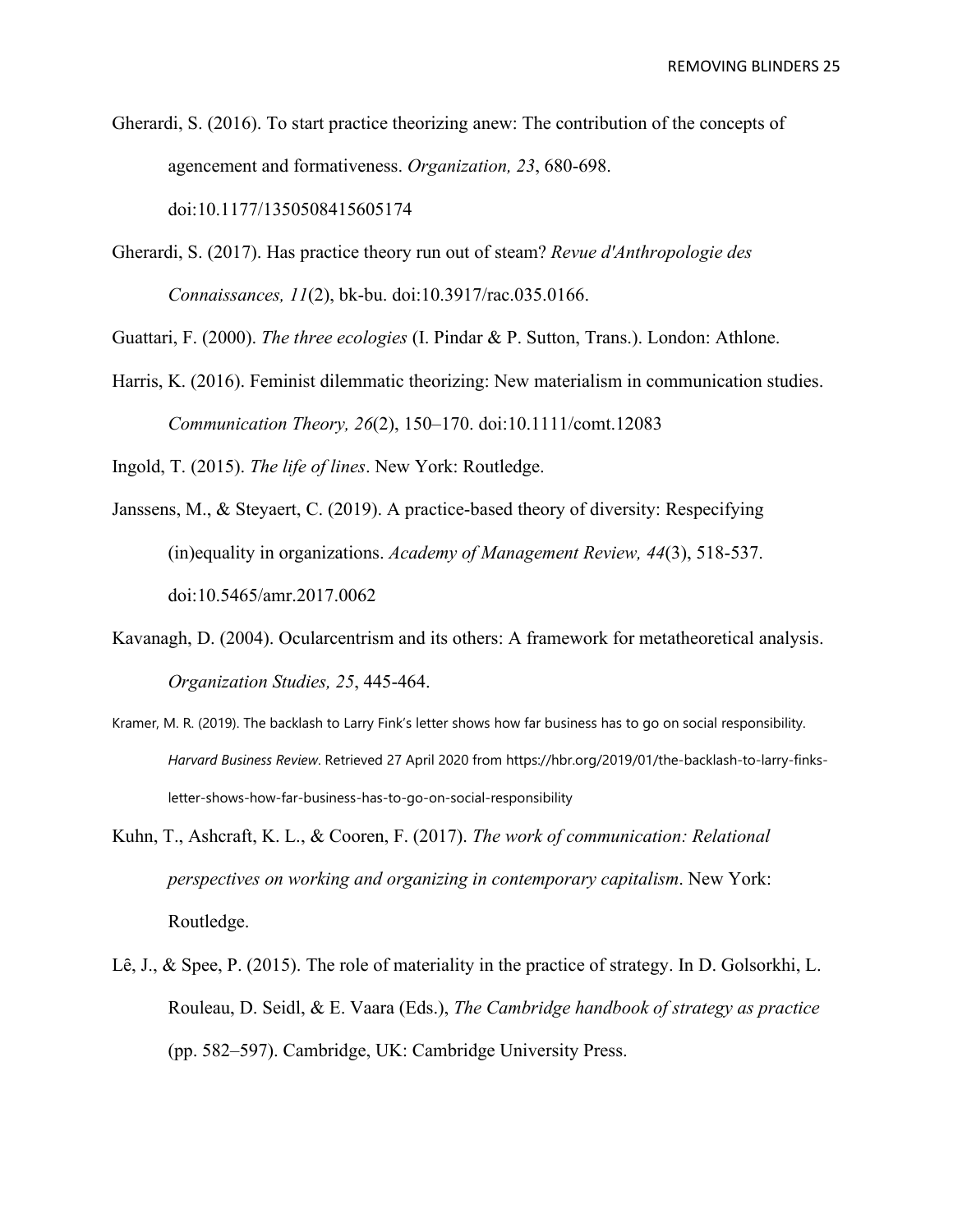Gherardi, S. (2016). To start practice theorizing anew: The contribution of the concepts of agencement and formativeness. *Organization, 23*, 680-698. doi:10.1177/1350508415605174

Gherardi, S. (2017). Has practice theory run out of steam? *Revue d'Anthropologie des Connaissances, 11*(2), bk-bu. doi:10.3917/rac.035.0166.

Guattari, F. (2000). *The three ecologies* (I. Pindar & P. Sutton, Trans.). London: Athlone.

Harris, K. (2016). Feminist dilemmatic theorizing: New materialism in communication studies. *Communication Theory, 26*(2), 150–170. doi:10.1111/comt.12083

Ingold, T. (2015). *The life of lines*. New York: Routledge.

- Janssens, M., & Steyaert, C. (2019). A practice-based theory of diversity: Respecifying (in)equality in organizations. *Academy of Management Review, 44*(3), 518-537. doi:10.5465/amr.2017.0062
- Kavanagh, D. (2004). Ocularcentrism and its others: A framework for metatheoretical analysis. *Organization Studies, 25*, 445-464.
- Kramer, M. R. (2019). The backlash to Larry Fink's letter shows how far business has to go on social responsibility. *Harvard Business Review*. Retrieved 27 April 2020 from https://hbr.org/2019/01/the-backlash-to-larry-finksletter-shows-how-far-business-has-to-go-on-social-responsibility
- Kuhn, T., Ashcraft, K. L., & Cooren, F. (2017). *The work of communication: Relational perspectives on working and organizing in contemporary capitalism*. New York: Routledge.
- Lê, J., & Spee, P. (2015). The role of materiality in the practice of strategy. In D. Golsorkhi, L. Rouleau, D. Seidl, & E. Vaara (Eds.), *The Cambridge handbook of strategy as practice* (pp. 582–597). Cambridge, UK: Cambridge University Press.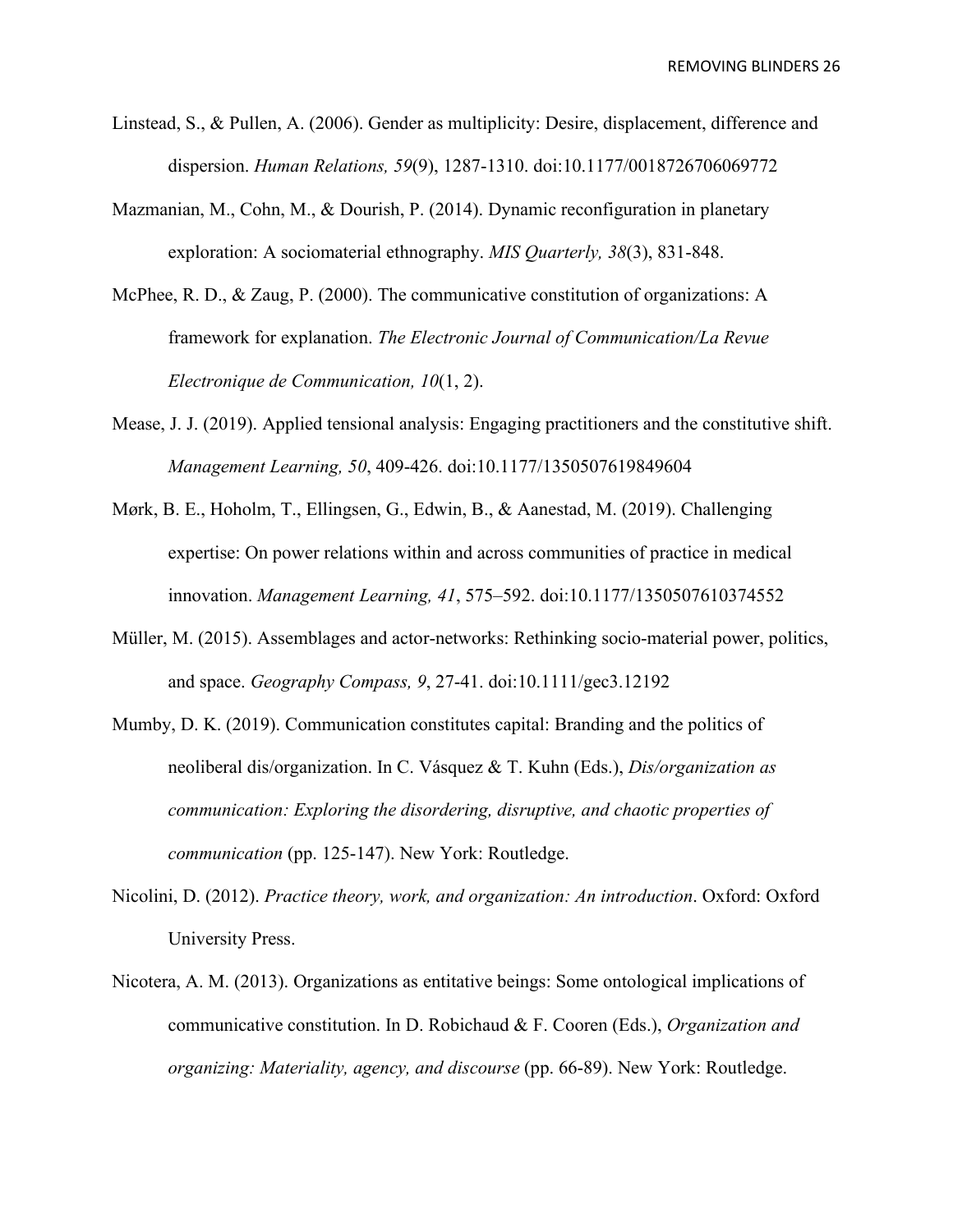- Linstead, S., & Pullen, A. (2006). Gender as multiplicity: Desire, displacement, difference and dispersion. *Human Relations, 59*(9), 1287-1310. doi:10.1177/0018726706069772
- Mazmanian, M., Cohn, M., & Dourish, P. (2014). Dynamic reconfiguration in planetary exploration: A sociomaterial ethnography. *MIS Quarterly, 38*(3), 831-848.
- McPhee, R. D., & Zaug, P. (2000). The communicative constitution of organizations: A framework for explanation. *The Electronic Journal of Communication/La Revue Electronique de Communication, 10*(1, 2).
- Mease, J. J. (2019). Applied tensional analysis: Engaging practitioners and the constitutive shift. *Management Learning, 50*, 409-426. doi:10.1177/1350507619849604
- Mørk, B. E., Hoholm, T., Ellingsen, G., Edwin, B., & Aanestad, M. (2019). Challenging expertise: On power relations within and across communities of practice in medical innovation. *Management Learning, 41*, 575–592. doi:10.1177/1350507610374552
- Müller, M. (2015). Assemblages and actor-networks: Rethinking socio-material power, politics, and space. *Geography Compass, 9*, 27-41. doi:10.1111/gec3.12192
- Mumby, D. K. (2019). Communication constitutes capital: Branding and the politics of neoliberal dis/organization. In C. Vásquez & T. Kuhn (Eds.), *Dis/organization as communication: Exploring the disordering, disruptive, and chaotic properties of communication* (pp. 125-147). New York: Routledge.
- Nicolini, D. (2012). *Practice theory, work, and organization: An introduction*. Oxford: Oxford University Press.
- Nicotera, A. M. (2013). Organizations as entitative beings: Some ontological implications of communicative constitution. In D. Robichaud & F. Cooren (Eds.), *Organization and organizing: Materiality, agency, and discourse* (pp. 66-89). New York: Routledge.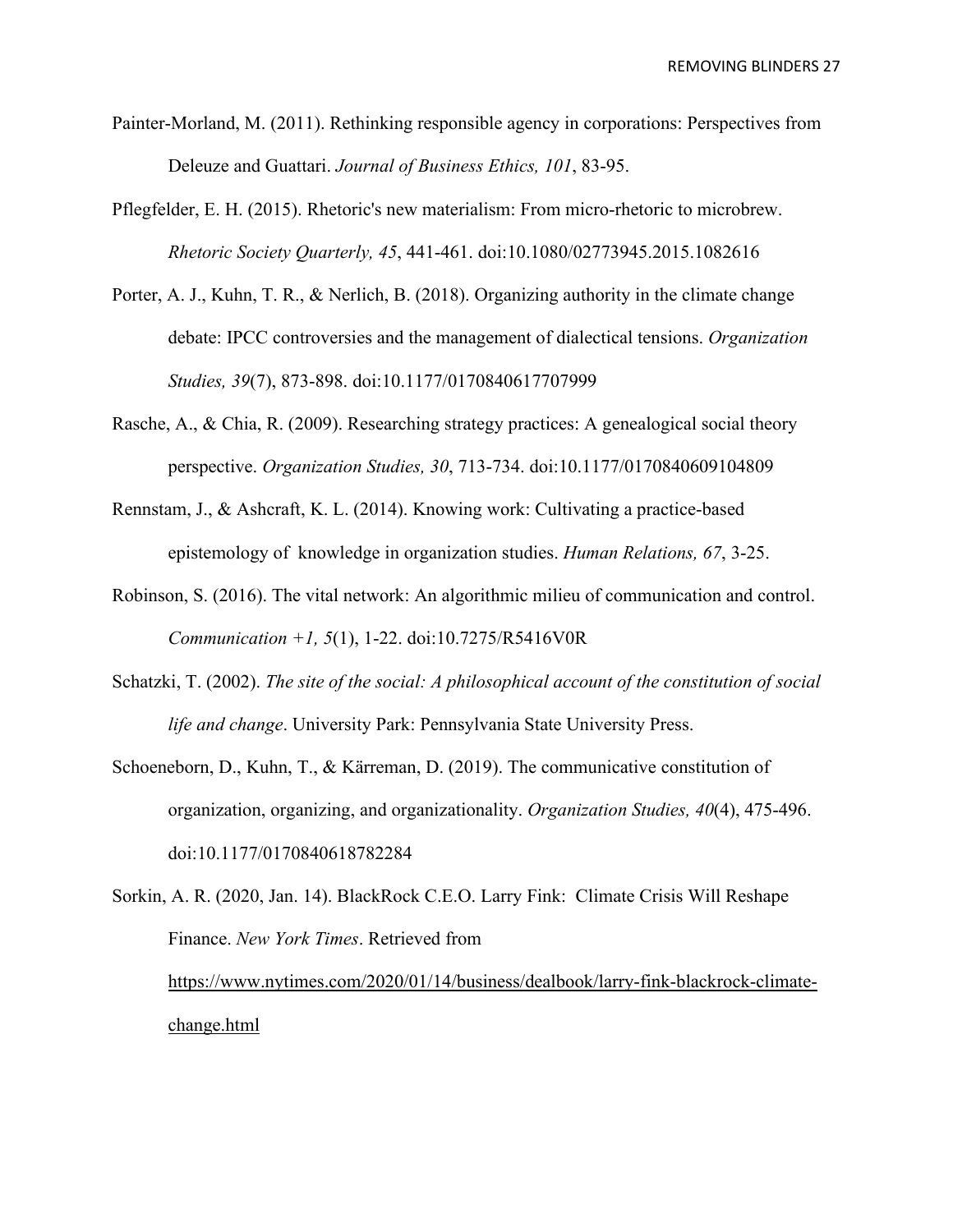- Painter-Morland, M. (2011). Rethinking responsible agency in corporations: Perspectives from Deleuze and Guattari. *Journal of Business Ethics, 101*, 83-95.
- Pflegfelder, E. H. (2015). Rhetoric's new materialism: From micro-rhetoric to microbrew. *Rhetoric Society Quarterly, 45*, 441-461. doi:10.1080/02773945.2015.1082616
- Porter, A. J., Kuhn, T. R., & Nerlich, B. (2018). Organizing authority in the climate change debate: IPCC controversies and the management of dialectical tensions. *Organization Studies, 39*(7), 873-898. doi:10.1177/0170840617707999
- Rasche, A., & Chia, R. (2009). Researching strategy practices: A genealogical social theory perspective. *Organization Studies, 30*, 713-734. doi:10.1177/0170840609104809
- Rennstam, J., & Ashcraft, K. L. (2014). Knowing work: Cultivating a practice-based epistemology of knowledge in organization studies. *Human Relations, 67*, 3-25.
- Robinson, S. (2016). The vital network: An algorithmic milieu of communication and control. *Communication +1, 5*(1), 1-22. doi:10.7275/R5416V0R
- Schatzki, T. (2002). *The site of the social: A philosophical account of the constitution of social life and change*. University Park: Pennsylvania State University Press.
- Schoeneborn, D., Kuhn, T., & Kärreman, D. (2019). The communicative constitution of organization, organizing, and organizationality. *Organization Studies, 40*(4), 475-496. doi:10.1177/0170840618782284
- Sorkin, A. R. (2020, Jan. 14). BlackRock C.E.O. Larry Fink: Climate Crisis Will Reshape Finance. *New York Times*. Retrieved from [https://www.nytimes.com/2020/01/14/business/dealbook/larry-fink-blackrock-climate](https://www.nytimes.com/2020/01/14/business/dealbook/larry-fink-blackrock-climate-change.html)[change.html](https://www.nytimes.com/2020/01/14/business/dealbook/larry-fink-blackrock-climate-change.html)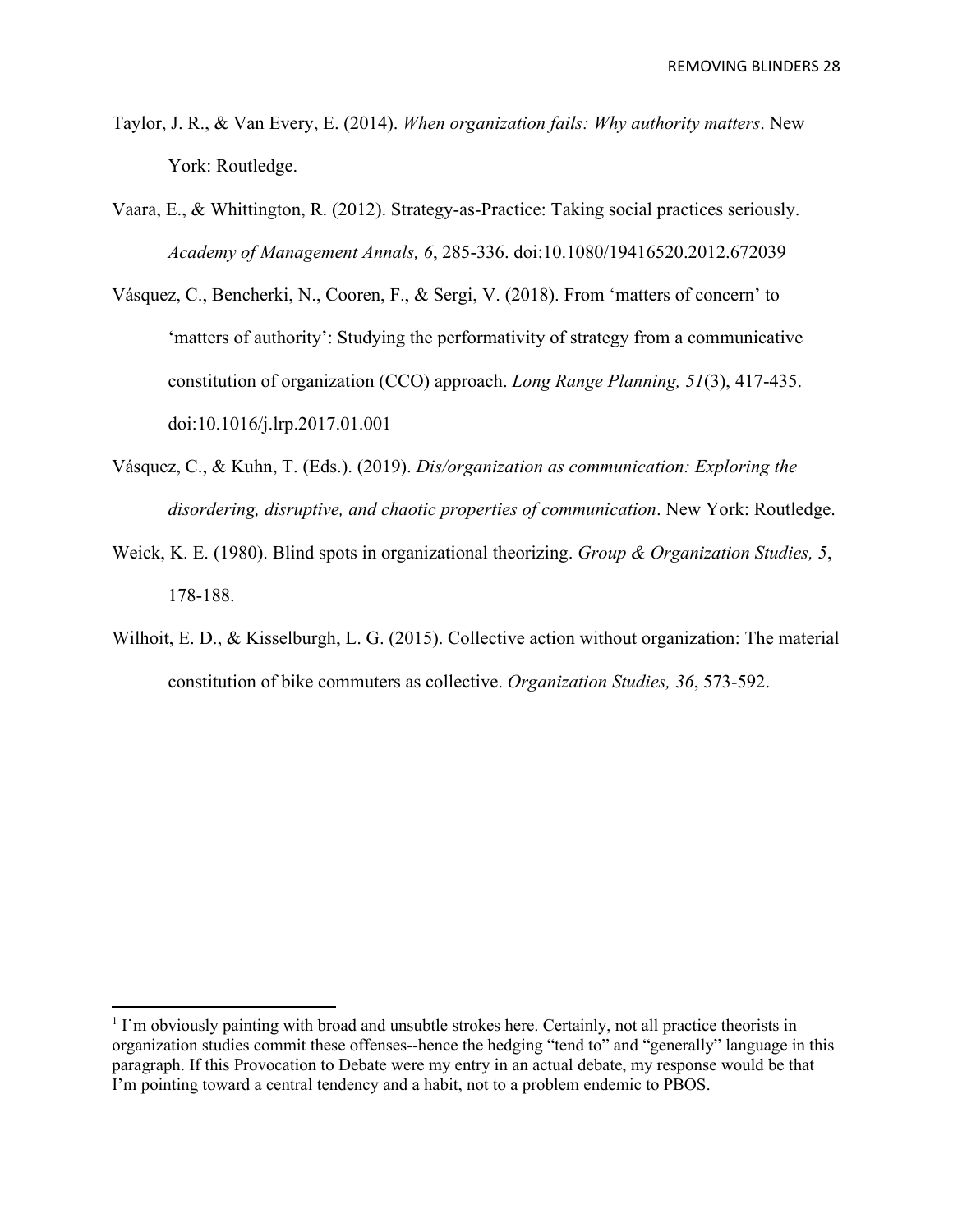- Taylor, J. R., & Van Every, E. (2014). *When organization fails: Why authority matters*. New York: Routledge.
- Vaara, E., & Whittington, R. (2012). Strategy-as-Practice: Taking social practices seriously. *Academy of Management Annals, 6*, 285-336. doi:10.1080/19416520.2012.672039
- Vásquez, C., Bencherki, N., Cooren, F., & Sergi, V. (2018). From 'matters of concern' to 'matters of authority': Studying the performativity of strategy from a communicative constitution of organization (CCO) approach. *Long Range Planning, 51*(3), 417-435. doi:10.1016/j.lrp.2017.01.001
- Vásquez, C., & Kuhn, T. (Eds.). (2019). *Dis/organization as communication: Exploring the disordering, disruptive, and chaotic properties of communication*. New York: Routledge.
- Weick, K. E. (1980). Blind spots in organizational theorizing. *Group & Organization Studies, 5*, 178-188.
- Wilhoit, E. D., & Kisselburgh, L. G. (2015). Collective action without organization: The material constitution of bike commuters as collective. *Organization Studies, 36*, 573-592.

<span id="page-27-0"></span><sup>&</sup>lt;sup>1</sup> I'm obviously painting with broad and unsubtle strokes here. Certainly, not all practice theorists in organization studies commit these offenses--hence the hedging "tend to" and "generally" language in this paragraph. If this Provocation to Debate were my entry in an actual debate, my response would be that I'm pointing toward a central tendency and a habit, not to a problem endemic to PBOS.